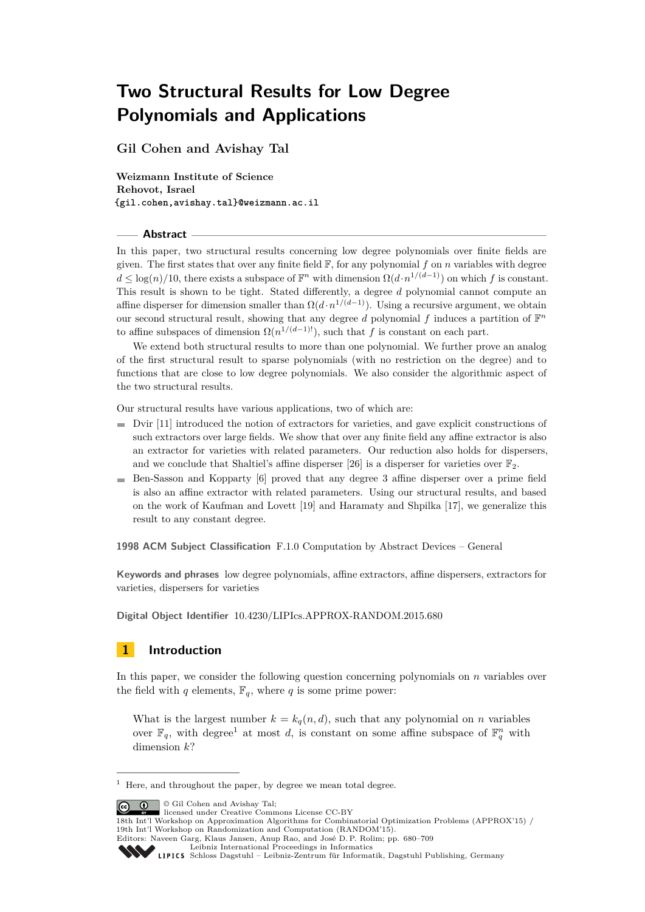**Gil Cohen and Avishay Tal**

**Weizmann Institute of Science Rehovot, Israel {gil.cohen,avishay.tal}@weizmann.ac.il**

#### **Abstract**

In this paper, two structural results concerning low degree polynomials over finite fields are given. The first states that over any finite field  $\mathbb{F}$ , for any polynomial  $f$  on  $n$  variables with degree  $d \leq \log(n)/10$ , there exists a subspace of  $\mathbb{F}^n$  with dimension  $\Omega(d \cdot n^{1/(d-1)})$  on which *f* is constant. This result is shown to be tight. Stated differently, a degree *d* polynomial cannot compute an affine disperser for dimension smaller than  $\Omega(d \cdot n^{1/(d-1)})$ . Using a recursive argument, we obtain our second structural result, showing that any degree  $d$  polynomial  $f$  induces a partition of  $\mathbb{F}^n$ to affine subspaces of dimension  $\Omega(n^{1/(d-1)!})$ , such that *f* is constant on each part.

We extend both structural results to more than one polynomial. We further prove an analog of the first structural result to sparse polynomials (with no restriction on the degree) and to functions that are close to low degree polynomials. We also consider the algorithmic aspect of the two structural results.

Our structural results have various applications, two of which are:

- $\blacksquare$  Dvir [\[11\]](#page-22-0) introduced the notion of extractors for varieties, and gave explicit constructions of such extractors over large fields. We show that over any finite field any affine extractor is also an extractor for varieties with related parameters. Our reduction also holds for dispersers, and we conclude that Shaltiel's affine disperser [\[26\]](#page-23-0) is a disperser for varieties over  $\mathbb{F}_2$ .
- $\blacksquare$  Ben-Sasson and Kopparty [\[6\]](#page-22-1) proved that any degree 3 affine disperser over a prime field is also an affine extractor with related parameters. Using our structural results, and based on the work of Kaufman and Lovett [\[19\]](#page-22-2) and Haramaty and Shpilka [\[17\]](#page-22-3), we generalize this result to any constant degree.

**1998 ACM Subject Classification** F.1.0 Computation by Abstract Devices – General

**Keywords and phrases** low degree polynomials, affine extractors, affine dispersers, extractors for varieties, dispersers for varieties

**Digital Object Identifier** [10.4230/LIPIcs.APPROX-RANDOM.2015.680](http://dx.doi.org/10.4230/LIPIcs.APPROX-RANDOM.2015.680)

## **1 Introduction**

In this paper, we consider the following question concerning polynomials on *n* variables over the field with *q* elements,  $\mathbb{F}_q$ , where *q* is some prime power:

What is the largest number  $k = k_q(n, d)$ , such that any polynomial on *n* variables over  $\mathbb{F}_q$ , with degree<sup>[1](#page-0-0)</sup> at most *d*, is constant on some affine subspace of  $\mathbb{F}_q^n$  with dimension *k*?

 $\boxed{6}$ 

© Gil Cohen and Avishay Tal; licensed under Creative Commons License CC-BY

```
18th Int'l Workshop on Approximation Algorithms for Combinatorial Optimization Problems (APPROX'15) /
19th Int'l Workshop on Randomization and Computation (RANDOM'15).
```

```
Editors: Naveen Garg, Klaus Jansen, Anup Rao, and José D. P. Rolim; pp. 680–709
```

```
Leibniz International Proceedings in Informatics
```
<span id="page-0-0"></span> $^{\rm 1}$  Here, and throughout the paper, by degree we mean total degree.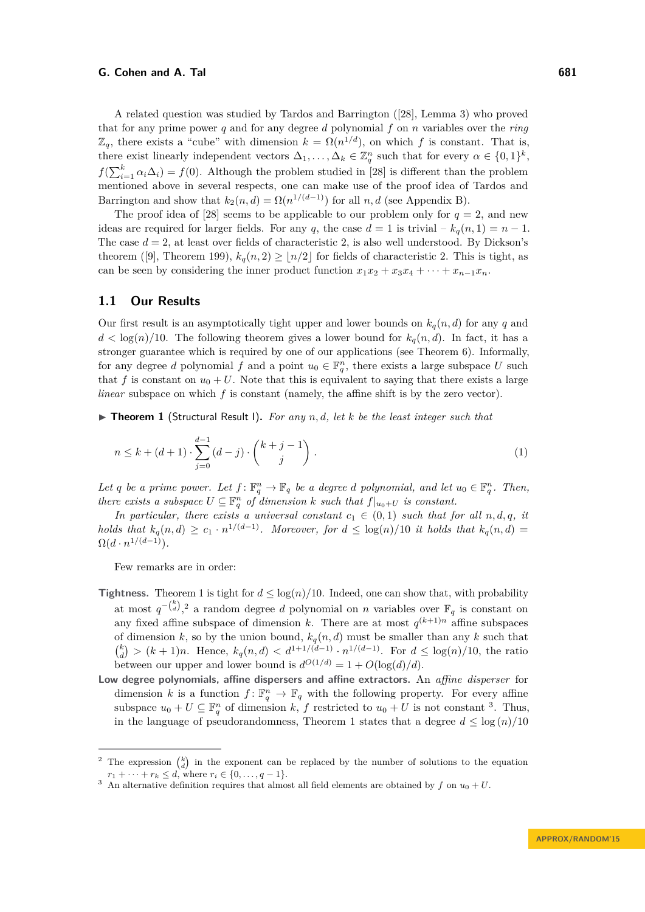A related question was studied by Tardos and Barrington ([\[28\]](#page-23-1), Lemma 3) who proved that for any prime power *q* and for any degree *d* polynomial *f* on *n* variables over the *ring*  $\mathbb{Z}_q$ , there exists a "cube" with dimension  $k = \Omega(n^{1/d})$ , on which f is constant. That is, there exist linearly independent vectors  $\Delta_1, \ldots, \Delta_k \in \mathbb{Z}_q^n$  such that for every  $\alpha \in \{0,1\}^k$ ,  $f(\sum_{i=1}^{k} \alpha_i \Delta_i) = f(0)$ . Although the problem studied in [\[28\]](#page-23-1) is different than the problem mentioned above in several respects, one can make use of the proof idea of Tardos and Barrington and show that  $k_2(n,d) = \Omega(n^{1/(d-1)})$  for all  $n, d$  (see Appendix [B\)](#page-25-0).

The proof idea of [\[28\]](#page-23-1) seems to be applicable to our problem only for  $q = 2$ , and new ideas are required for larger fields. For any *q*, the case  $d = 1$  is trivial –  $k_q(n, 1) = n - 1$ . The case  $d = 2$ , at least over fields of characteristic 2, is also well understood. By Dickson's theorem ([\[9\]](#page-22-4), Theorem 199),  $k_q(n, 2) \ge |n/2|$  for fields of characteristic 2. This is tight, as can be seen by considering the inner product function  $x_1x_2 + x_3x_4 + \cdots + x_{n-1}x_n$ .

## **1.1 Our Results**

Our first result is an asymptotically tight upper and lower bounds on  $k_q(n, d)$  for any q and  $d < \log(n)/10$ . The following theorem gives a lower bound for  $k_q(n,d)$ . In fact, it has a stronger guarantee which is required by one of our applications (see Theorem [6\)](#page-5-0). Informally, for any degree *d* polynomial *f* and a point  $u_0 \in \mathbb{F}_q^n$ , there exists a large subspace *U* such that *f* is constant on  $u_0 + U$ . Note that this is equivalent to saying that there exists a large *linear* subspace on which *f* is constant (namely, the affine shift is by the zero vector).

<span id="page-1-0"></span>▶ **Theorem 1** (Structural Result 1). For any n, d, let k be the least integer such that

$$
n \le k + (d+1) \cdot \sum_{j=0}^{d-1} (d-j) \cdot \binom{k+j-1}{j} \,. \tag{1}
$$

*Let q be a prime power. Let*  $f: \mathbb{F}_q^n \to \mathbb{F}_q$  *be a degree d polynomial, and let*  $u_0 \in \mathbb{F}_q^n$ *. Then, there exists a subspace*  $U \subseteq \mathbb{F}_q^n$  *of dimension*  $k$  *such that*  $f|_{u_0+U}$  *is constant.* 

*In particular, there exists a universal constant*  $c_1 \in (0,1)$  *such that for all*  $n, d, q, it$ *holds that*  $k_q(n,d) \geq c_1 \cdot n^{1/(d-1)}$ *. Moreover, for*  $d \leq \log(n)/10$  *it holds that*  $k_q(n,d) =$  $\Omega(d \cdot n^{1/(d-1)})$ .

Few remarks are in order:

- **Tightness.** Theorem [1](#page-1-0) is tight for  $d \leq \log(n)/10$ . Indeed, one can show that, with probability at most  $q^{-\binom{k}{d}}$ , <sup>[2](#page-1-1)</sup> a random degree *d* polynomial on *n* variables over  $\mathbb{F}_q$  is constant on any fixed affine subspace of dimension *k*. There are at most  $q^{(k+1)n}$  affine subspaces of dimension *k*, so by the union bound,  $k_q(n, d)$  must be smaller than any *k* such that  $\binom{k}{d}$  >  $(k+1)n$ . Hence,  $k_q(n,d)$  <  $d^{1+1/(d-1)} \cdot n^{1/(d-1)}$ . For  $d \leq \log(n)/10$ , the ratio between our upper and lower bound is  $d^{O(1/d)} = 1 + O(\log(d)/d)$ .
- **Low degree polynomials, affine dispersers and affine extractors.** An *affine disperser* for dimension *k* is a function  $f: \mathbb{F}_q^n \to \mathbb{F}_q$  with the following property. For every affine subspace  $u_0 + U \subseteq \mathbb{F}_q^n$  of dimension *k*, *f* restricted to  $u_0 + U$  is not constant <sup>[3](#page-1-2)</sup>. Thus, in the language of pseudorandomness, Theorem [1](#page-1-0) states that a degree  $d \leq \log(n)/10$

<span id="page-1-1"></span><sup>&</sup>lt;sup>2</sup> The expression  $\binom{k}{d}$  in the exponent can be replaced by the number of solutions to the equation  $r_1 + \cdots + r_k \leq d$ , where  $r_i \in \{0, \ldots, q-1\}.$ 

<span id="page-1-2"></span>An alternative definition requires that almost all field elements are obtained by  $f$  on  $u_0 + U$ .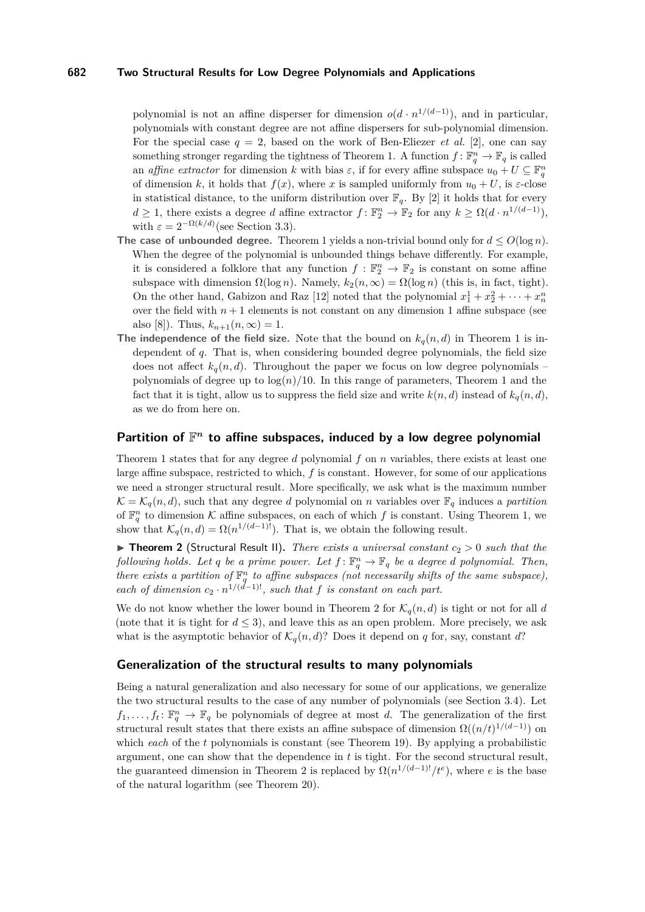polynomial is not an affine disperser for dimension  $o(d \cdot n^{1/(d-1)})$ , and in particular, polynomials with constant degree are not affine dispersers for sub-polynomial dimension. For the special case  $q = 2$ , based on the work of Ben-Eliezer *et al.* [\[2\]](#page-22-5), one can say something stronger regarding the tightness of Theorem [1.](#page-1-0) A function  $f: \mathbb{F}_q^n \to \mathbb{F}_q$  is called an *affine extractor* for dimension *k* with bias  $\varepsilon$ , if for every affine subspace  $u_0 + U \subseteq \mathbb{F}_q^n$ of dimension k, it holds that  $f(x)$ , where x is sampled uniformly from  $u_0 + U$ , is  $\varepsilon$ -close in statistical distance, to the uniform distribution over  $\mathbb{F}_q$ . By [\[2\]](#page-22-5) it holds that for every  $d \geq 1$ , there exists a degree *d* affine extractor  $f: \mathbb{F}_2^n \to \mathbb{F}_2$  for any  $k \geq \Omega(d \cdot n^{1/(d-1)}),$ with  $\varepsilon = 2^{-\Omega(k/d)}$  (see Section [3.3\)](#page-14-0).

- **The case of unbounded degree.** Theorem [1](#page-1-0) yields a non-trivial bound only for  $d \leq O(\log n)$ . When the degree of the polynomial is unbounded things behave differently. For example, it is considered a folklore that any function  $f: \mathbb{F}_2^n \to \mathbb{F}_2$  is constant on some affine subspace with dimension  $\Omega(\log n)$ . Namely,  $k_2(n,\infty) = \Omega(\log n)$  (this is, in fact, tight). On the other hand, Gabizon and Raz [\[12\]](#page-22-6) noted that the polynomial  $x_1^1 + x_2^2 + \cdots + x_n^n$ over the field with  $n+1$  elements is not constant on any dimension 1 affine subspace (see also [\[8\]](#page-22-7)). Thus,  $k_{n+1}(n, \infty) = 1$ .
- The independence of the field size. Note that the bound on  $k_q(n,d)$  in Theorem [1](#page-1-0) is independent of *q*. That is, when considering bounded degree polynomials, the field size does not affect  $k_q(n,d)$ . Throughout the paper we focus on low degree polynomials – polynomials of degree up to  $log(n)/10$ . In this range of parameters, Theorem [1](#page-1-0) and the fact that it is tight, allow us to suppress the field size and write  $k(n, d)$  instead of  $k_q(n, d)$ , as we do from here on.

## Partition of  $\mathbb{F}^n$  to affine subspaces, induced by a low degree polynomial

Theorem [1](#page-1-0) states that for any degree *d* polynomial *f* on *n* variables, there exists at least one large affine subspace, restricted to which, *f* is constant. However, for some of our applications we need a stronger structural result. More specifically, we ask what is the maximum number  $\mathcal{K} = \mathcal{K}_q(n, d)$ , such that any degree *d* polynomial on *n* variables over  $\mathbb{F}_q$  induces a *partition* of  $\mathbb{F}_q^n$  to dimension K affine subspaces, on each of which f is constant. Using Theorem [1,](#page-1-0) we show that  $\mathcal{K}_q(n, d) = \Omega(n^{1/(d-1)!})$ . That is, we obtain the following result.

<span id="page-2-0"></span>▶ **Theorem 2** (Structural Result II). *There exists a universal constant*  $c_2 > 0$  *such that the following holds. Let q be a prime power. Let*  $f: \mathbb{F}_q^n \to \mathbb{F}_q$  *be a degree d polynomial. Then, there exists a partition of*  $\mathbb{F}_q^n$  *to affine subspaces (not necessarily shifts of the same subspace), each of dimension*  $c_2 \cdot n^{1/(d-1)!}$ *, such that f is constant on each part.* 

We do not know whether the lower bound in Theorem [2](#page-2-0) for  $\mathcal{K}_q(n, d)$  is tight or not for all *d* (note that it is tight for  $d \leq 3$ ), and leave this as an open problem. More precisely, we ask what is the asymptotic behavior of  $\mathcal{K}_q(n, d)$ ? Does it depend on *q* for, say, constant *d*?

### **Generalization of the structural results to many polynomials**

Being a natural generalization and also necessary for some of our applications, we generalize the two structural results to the case of any number of polynomials (see Section [3.4\)](#page-14-1). Let  $f_1, \ldots, f_t: \mathbb{F}_q^n \to \mathbb{F}_q$  be polynomials of degree at most *d*. The generalization of the first structural result states that there exists an affine subspace of dimension  $\Omega((n/t)^{1/(d-1)})$  on which *each* of the *t* polynomials is constant (see Theorem [19\)](#page-14-2). By applying a probabilistic argument, one can show that the dependence in *t* is tight. For the second structural result, the guaranteed dimension in Theorem [2](#page-2-0) is replaced by  $\Omega(n^{1/(d-1)!}/t^e)$ , where *e* is the base of the natural logarithm (see Theorem [20\)](#page-15-0).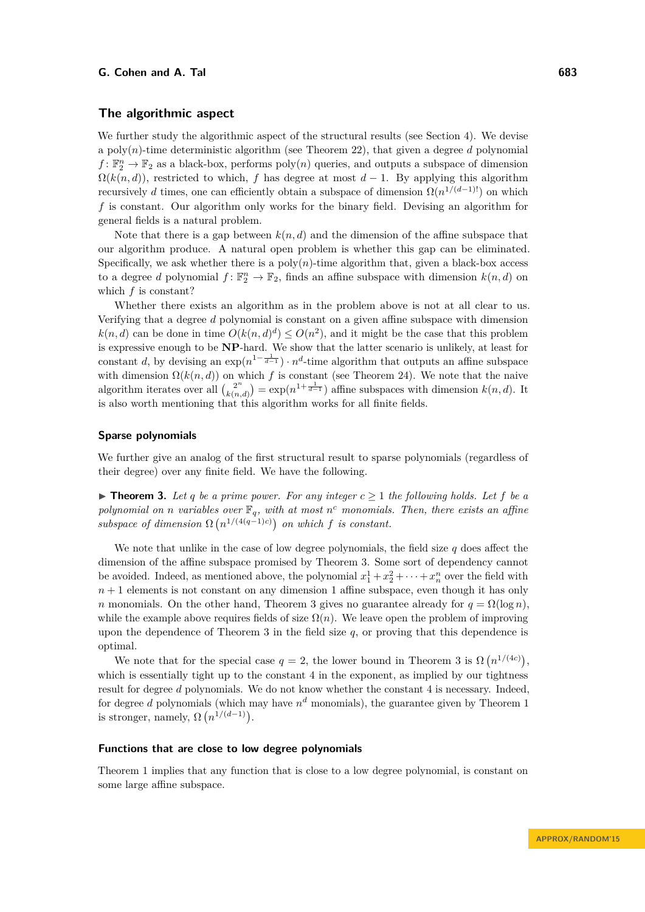## **The algorithmic aspect**

We further study the algorithmic aspect of the structural results (see Section [4\)](#page-16-0). We devise a poly $(n)$ -time deterministic algorithm (see Theorem [22\)](#page-16-1), that given a degree *d* polynomial  $f: \mathbb{F}_2^n \to \mathbb{F}_2$  as a black-box, performs  $poly(n)$  queries, and outputs a subspace of dimension  $\Omega(k(n, d))$ , restricted to which, *f* has degree at most  $d - 1$ . By applying this algorithm recursively *d* times, one can efficiently obtain a subspace of dimension  $\Omega(n^{1/(d-1)!})$  on which *f* is constant. Our algorithm only works for the binary field. Devising an algorithm for general fields is a natural problem.

Note that there is a gap between  $k(n, d)$  and the dimension of the affine subspace that our algorithm produce. A natural open problem is whether this gap can be eliminated. Specifically, we ask whether there is a  $poly(n)$ -time algorithm that, given a black-box access to a degree *d* polynomial  $f: \mathbb{F}_2^n \to \mathbb{F}_2$ , finds an affine subspace with dimension  $k(n, d)$  on which *f* is constant?

Whether there exists an algorithm as in the problem above is not at all clear to us. Verifying that a degree *d* polynomial is constant on a given affine subspace with dimension  $k(n, d)$  can be done in time  $O(k(n, d)^d) \leq O(n^2)$ , and it might be the case that this problem is expressive enough to be **NP**-hard. We show that the latter scenario is unlikely, at least for constant *d*, by devising an  $\exp(n^{1-\frac{1}{d-1}}) \cdot n^d$ -time algorithm that outputs an affine subspace with dimension  $\Omega(k(n, d))$  on which f is constant (see Theorem [24\)](#page-16-2). We note that the naive algorithm iterates over all  $\binom{2^n}{k(n)}$  $\chi_{k(n,d)}^{2^n}$  = exp( $n^{1+\frac{1}{d-1}}$ ) affine subspaces with dimension  $k(n,d)$ . It is also worth mentioning that this algorithm works for all finite fields.

#### **Sparse polynomials**

We further give an analog of the first structural result to sparse polynomials (regardless of their degree) over any finite field. We have the following.

<span id="page-3-0"></span>▶ **Theorem 3.** Let *q* be a prime power. For any integer  $c \geq 1$  the following holds. Let *f* be a *polynomial on n variables over*  $\mathbb{F}_q$ *, with at most n*<sup>*c*</sup> *monomials. Then, there exists an affine* subspace of dimension  $\Omega(n^{1/(4(q-1)c)})$  on which f is constant.

We note that unlike in the case of low degree polynomials, the field size *q* does affect the dimension of the affine subspace promised by Theorem [3.](#page-3-0) Some sort of dependency cannot be avoided. Indeed, as mentioned above, the polynomial  $x_1^1 + x_2^2 + \cdots + x_n^n$  over the field with  $n+1$  elements is not constant on any dimension 1 affine subspace, even though it has only *n* monomials. On the other hand, Theorem [3](#page-3-0) gives no guarantee already for  $q = \Omega(\log n)$ . while the example above requires fields of size  $\Omega(n)$ . We leave open the problem of improving upon the dependence of Theorem [3](#page-3-0) in the field size *q*, or proving that this dependence is optimal.

We note that for the special case  $q = 2$ , the lower bound in Theorem [3](#page-3-0) is  $\Omega(n^{1/(4c)})$ , which is essentially tight up to the constant 4 in the exponent, as implied by our tightness result for degree *d* polynomials. We do not know whether the constant 4 is necessary. Indeed, for degree *d* polynomials (which may have  $n<sup>d</sup>$  monomials), the guarantee given by Theorem [1](#page-1-0) is stronger, namely,  $\Omega(n^{1/(d-1)})$ .

#### **Functions that are close to low degree polynomials**

Theorem [1](#page-1-0) implies that any function that is close to a low degree polynomial, is constant on some large affine subspace.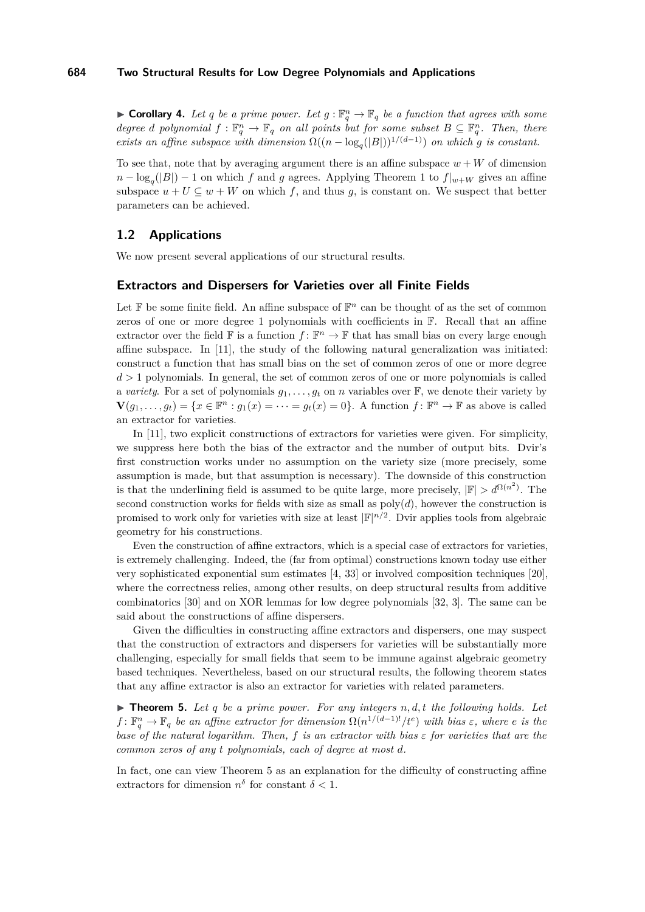**Corollary 4.** Let q be a prime power. Let  $g : \mathbb{F}_q^n \to \mathbb{F}_q$  be a function that agrees with some *degree d polynomial*  $f: \mathbb{F}_q^n \to \mathbb{F}_q$  *on all points but for some subset*  $B \subseteq \mathbb{F}_q^n$ *. Then, there exists an affine subspace with dimension*  $\Omega((n - \log_q(|B|))^{1/(d-1)})$  *on which g is constant.* 

To see that, note that by averaging argument there is an affine subspace  $w + W$  of dimension  $n - \log_q(|B|) - 1$  $n - \log_q(|B|) - 1$  on which *f* and *g* agrees. Applying Theorem 1 to  $f|_{w+W}$  gives an affine subspace  $u + U \subseteq w + W$  on which f, and thus g, is constant on. We suspect that better parameters can be achieved.

## **1.2 Applications**

We now present several applications of our structural results.

#### **Extractors and Dispersers for Varieties over all Finite Fields**

Let  $\mathbb F$  be some finite field. An affine subspace of  $\mathbb F^n$  can be thought of as the set of common zeros of one or more degree 1 polynomials with coefficients in  $\mathbb{F}$ . Recall that an affine extractor over the field  $\mathbb F$  is a function  $f: \mathbb F^n \to \mathbb F$  that has small bias on every large enough affine subspace. In [\[11\]](#page-22-0), the study of the following natural generalization was initiated: construct a function that has small bias on the set of common zeros of one or more degree *d >* 1 polynomials. In general, the set of common zeros of one or more polynomials is called a *variety*. For a set of polynomials  $g_1, \ldots, g_t$  on *n* variables over  $\mathbb{F}$ , we denote their variety by  $\mathbf{V}(g_1, \ldots, g_t) = \{x \in \mathbb{F}^n : g_1(x) = \cdots = g_t(x) = 0\}.$  A function  $f: \mathbb{F}^n \to \mathbb{F}$  as above is called an extractor for varieties.

In [\[11\]](#page-22-0), two explicit constructions of extractors for varieties were given. For simplicity, we suppress here both the bias of the extractor and the number of output bits. Dvir's first construction works under no assumption on the variety size (more precisely, some assumption is made, but that assumption is necessary). The downside of this construction is that the underlining field is assumed to be quite large, more precisely,  $|\mathbb{F}| > d^{\Omega(n^2)}$ . The second construction works for fields with size as small as  $poly(d)$ , however the construction is promised to work only for varieties with size at least  $\mathbb{F}|^{n/2}$ . Dvir applies tools from algebraic geometry for his constructions.

Even the construction of affine extractors, which is a special case of extractors for varieties, is extremely challenging. Indeed, the (far from optimal) constructions known today use either very sophisticated exponential sum estimates [\[4,](#page-22-8) [33\]](#page-23-2) or involved composition techniques [\[20\]](#page-22-9), where the correctness relies, among other results, on deep structural results from additive combinatorics [\[30\]](#page-23-3) and on XOR lemmas for low degree polynomials [\[32,](#page-23-4) [3\]](#page-22-10). The same can be said about the constructions of affine dispersers.

Given the difficulties in constructing affine extractors and dispersers, one may suspect that the construction of extractors and dispersers for varieties will be substantially more challenging, especially for small fields that seem to be immune against algebraic geometry based techniques. Nevertheless, based on our structural results, the following theorem states that any affine extractor is also an extractor for varieties with related parameters.

<span id="page-4-0"></span> $\triangleright$  **Theorem 5.** Let q be a prime power. For any integers n, d, t the following holds. Let  $f: \mathbb{F}_q^n \to \mathbb{F}_q$  *be an affine extractor for dimension*  $\Omega(n^{1/(d-1)!}/t^e)$  *with bias*  $\varepsilon$ *, where*  $e$  *is the base of the natural logarithm. Then, f is an extractor with bias ε for varieties that are the common zeros of any t polynomials, each of degree at most d.*

In fact, one can view Theorem [5](#page-4-0) as an explanation for the difficulty of constructing affine extractors for dimension  $n^{\delta}$  for constant  $\delta$  < 1.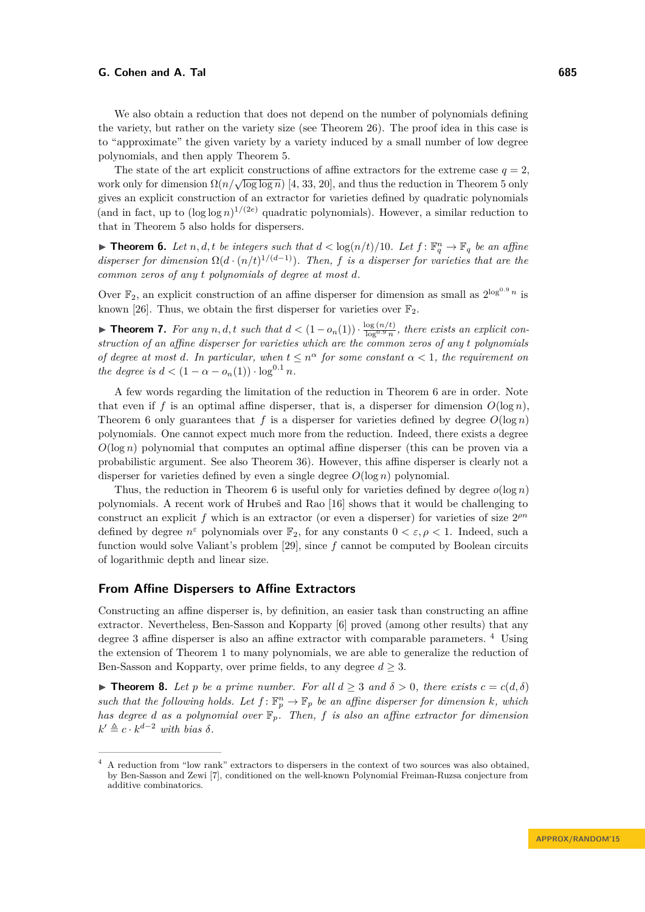We also obtain a reduction that does not depend on the number of polynomials defining the variety, but rather on the variety size (see Theorem [26\)](#page-18-0). The proof idea in this case is to "approximate" the given variety by a variety induced by a small number of low degree polynomials, and then apply Theorem [5.](#page-4-0)

The state of the art explicit constructions of affine extractors for the extreme case  $q = 2$ , The state of the art explicit constructions of almost extractors for the extreme case  $q = 2$  work only for dimension  $\Omega(n/\sqrt{\log \log n})$  [\[4,](#page-22-8) [33,](#page-23-2) [20\]](#page-22-9), and thus the reduction in Theorem [5](#page-4-0) only gives an explicit construction of an extractor for varieties defined by quadratic polynomials (and in fact, up to  $(\log \log n)^{1/(2e)}$  quadratic polynomials). However, a similar reduction to that in Theorem [5](#page-4-0) also holds for dispersers.

<span id="page-5-0"></span>**Findment 6.** Let  $n, d, t$  be integers such that  $d < log(n/t)/10$ . Let  $f: \mathbb{F}_q^n \to \mathbb{F}_q$  be an affine *disperser for dimension*  $\Omega(d \cdot (n/t)^{1/(d-1)})$ *. Then, f is a disperser for varieties that are the common zeros of any t polynomials of degree at most d.*

Over  $\mathbb{F}_2$ , an explicit construction of an affine disperser for dimension as small as  $2^{\log^{0.9} n}$  is known [\[26\]](#page-23-0). Thus, we obtain the first disperser for varieties over  $\mathbb{F}_2$ .

**► Theorem 7.** For any  $n, d, t$  such that  $d < (1 - o_n(1)) \cdot \frac{\log(n/t)}{\log^{0.9} n}$ , there exists an explicit con*struction of an affine disperser for varieties which are the common zeros of any t polynomials of degree at most d. In particular, when*  $t \leq n^{\alpha}$  *for some constant*  $\alpha < 1$ *, the requirement on the degree is*  $d < (1 - \alpha - o_n(1)) \cdot \log^{0.1} n$ .

A few words regarding the limitation of the reduction in Theorem [6](#page-5-0) are in order. Note that even if f is an optimal affine disperser, that is, a disperser for dimension  $O(\log n)$ , Theorem [6](#page-5-0) only guarantees that  $f$  is a disperser for varieties defined by degree  $O(\log n)$ polynomials. One cannot expect much more from the reduction. Indeed, there exists a degree *O*(log *n*) polynomial that computes an optimal affine disperser (this can be proven via a probabilistic argument. See also Theorem [36\)](#page-25-1). However, this affine disperser is clearly not a disperser for varieties defined by even a single degree  $O(\log n)$  polynomial.

Thus, the reduction in Theorem [6](#page-5-0) is useful only for varieties defined by degree  $o(\log n)$ polynomials. A recent work of Hrubeš and Rao [\[16\]](#page-22-11) shows that it would be challenging to construct an explicit f which is an extractor (or even a disperser) for varieties of size  $2^{pn}$ defined by degree  $n^{\varepsilon}$  polynomials over  $\mathbb{F}_2$ , for any constants  $0 < \varepsilon, \rho < 1$ . Indeed, such a function would solve Valiant's problem [\[29\]](#page-23-5), since *f* cannot be computed by Boolean circuits of logarithmic depth and linear size.

### **From Affine Dispersers to Affine Extractors**

Constructing an affine disperser is, by definition, an easier task than constructing an affine extractor. Nevertheless, Ben-Sasson and Kopparty [\[6\]](#page-22-1) proved (among other results) that any degree 3 affine disperser is also an affine extractor with comparable parameters. [4](#page-5-1) Using the extension of Theorem [1](#page-1-0) to many polynomials, we are able to generalize the reduction of Ben-Sasson and Kopparty, over prime fields, to any degree  $d \geq 3$ .

<span id="page-5-2"></span>**► Theorem 8.** Let *p* be a prime number. For all  $d > 3$  and  $\delta > 0$ , there exists  $c = c(d, \delta)$ such that the following holds. Let  $f: \mathbb{F}_p^n \to \mathbb{F}_p$  be an affine disperser for dimension  $k$ *, which has degree d as a polynomial over* F*p. Then, f is also an affine extractor for dimension*  $k' \triangleq c \cdot k^{d-2}$  *with bias*  $\delta$ *.* 

<span id="page-5-1"></span><sup>4</sup> A reduction from "low rank" extractors to dispersers in the context of two sources was also obtained, by Ben-Sasson and Zewi [\[7\]](#page-22-12), conditioned on the well-known Polynomial Freiman-Ruzsa conjecture from additive combinatorics.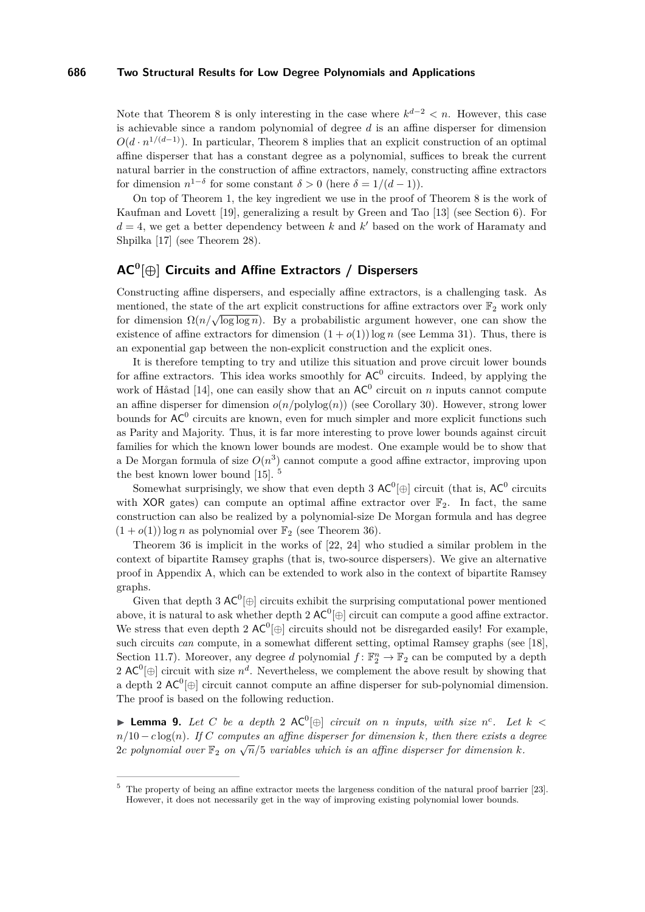Note that Theorem [8](#page-5-2) is only interesting in the case where  $k^{d-2} < n$ . However, this case is achievable since a random polynomial of degree *d* is an affine disperser for dimension  $O(d \cdot n^{1/(d-1)})$ . In particular, Theorem [8](#page-5-2) implies that an explicit construction of an optimal affine disperser that has a constant degree as a polynomial, suffices to break the current natural barrier in the construction of affine extractors, namely, constructing affine extractors for dimension  $n^{1-\delta}$  for some constant  $\delta > 0$  (here  $\delta = 1/(d-1)$ ).

On top of Theorem [1,](#page-1-0) the key ingredient we use in the proof of Theorem [8](#page-5-2) is the work of Kaufman and Lovett [\[19\]](#page-22-2), generalizing a result by Green and Tao [\[13\]](#page-22-13) (see Section [6\)](#page-18-1). For  $d = 4$ , we get a better dependency between k and  $k'$  based on the work of Haramaty and Shpilka [\[17\]](#page-22-3) (see Theorem [28\)](#page-19-0).

## **AC<sup>0</sup> [⊕] Circuits and Affine Extractors / Dispersers**

Constructing affine dispersers, and especially affine extractors, is a challenging task. As mentioned, the state of the art explicit constructions for affine extractors over  $\mathbb{F}_2$  work only for dimension  $\Omega(n/\sqrt{\log\log n})$ . By a probabilistic argument however, one can show the existence of affine extractors for dimension  $(1 + o(1)) \log n$  (see Lemma [31\)](#page-23-6). Thus, there is an exponential gap between the non-explicit construction and the explicit ones.

It is therefore tempting to try and utilize this situation and prove circuit lower bounds for affine extractors. This idea works smoothly for  $AC^0$  circuits. Indeed, by applying the work of Håstad [\[14\]](#page-22-14), one can easily show that an  $AC^0$  circuit on *n* inputs cannot compute an affine disperser for dimension  $o(n/\text{polylog}(n))$  (see Corollary [30\)](#page-20-0). However, strong lower bounds for  $AC^0$  circuits are known, even for much simpler and more explicit functions such as Parity and Majority. Thus, it is far more interesting to prove lower bounds against circuit families for which the known lower bounds are modest. One example would be to show that a De Morgan formula of size  $O(n^3)$  cannot compute a good affine extractor, improving upon the best known lower bound [\[15\]](#page-22-15). [5](#page-6-0)

Somewhat surprisingly, we show that even depth 3  $AC^0[\oplus]$  circuit (that is,  $AC^0$  circuits with XOR gates) can compute an optimal affine extractor over  $\mathbb{F}_2$ . In fact, the same construction can also be realized by a polynomial-size De Morgan formula and has degree  $(1+o(1))$  log *n* as polynomial over  $\mathbb{F}_2$  (see Theorem [36\)](#page-25-1).

Theorem [36](#page-25-1) is implicit in the works of [\[22,](#page-23-7) [24\]](#page-23-8) who studied a similar problem in the context of bipartite Ramsey graphs (that is, two-source dispersers). We give an alternative proof in Appendix [A,](#page-23-9) which can be extended to work also in the context of bipartite Ramsey graphs.

Given that depth 3  $AC^0[\oplus]$  circuits exhibit the surprising computational power mentioned above, it is natural to ask whether depth 2  $\mathsf{AC}^0[\oplus]$  circuit can compute a good affine extractor. We stress that even depth 2  $AC^0[\oplus]$  circuits should not be disregarded easily! For example, such circuits *can* compute, in a somewhat different setting, optimal Ramsey graphs (see [\[18\]](#page-22-16), Section 11.7). Moreover, any degree *d* polynomial  $f: \mathbb{F}_2^n \to \mathbb{F}_2$  can be computed by a depth 2  $AC^0[\oplus]$  circuit with size  $n^d$ . Nevertheless, we complement the above result by showing that a depth 2  $AC^0[\oplus]$  circuit cannot compute an affine disperser for sub-polynomial dimension. The proof is based on the following reduction.

<span id="page-6-1"></span>▶ **Lemma 9.** Let C be a depth 2  $AC^0[⊕]$  circuit on *n* inputs, with size  $n^c$ . Let  $k$  < *n/*10 − *c* log(*n*)*. If C computes an affine disperser for dimension k, then there exists a degree*  $n_f$  is  $\sigma$   $\cos(n_f)$ . If  $\sigma$  computes an affine disperser for dimensional over  $\mathbb{F}_2$  on  $\sqrt{n}/5$  variables which is an affine disperser for dimension *k*.

<span id="page-6-0"></span><sup>5</sup> The property of being an affine extractor meets the largeness condition of the natural proof barrier [\[23\]](#page-23-10). However, it does not necessarily get in the way of improving existing polynomial lower bounds.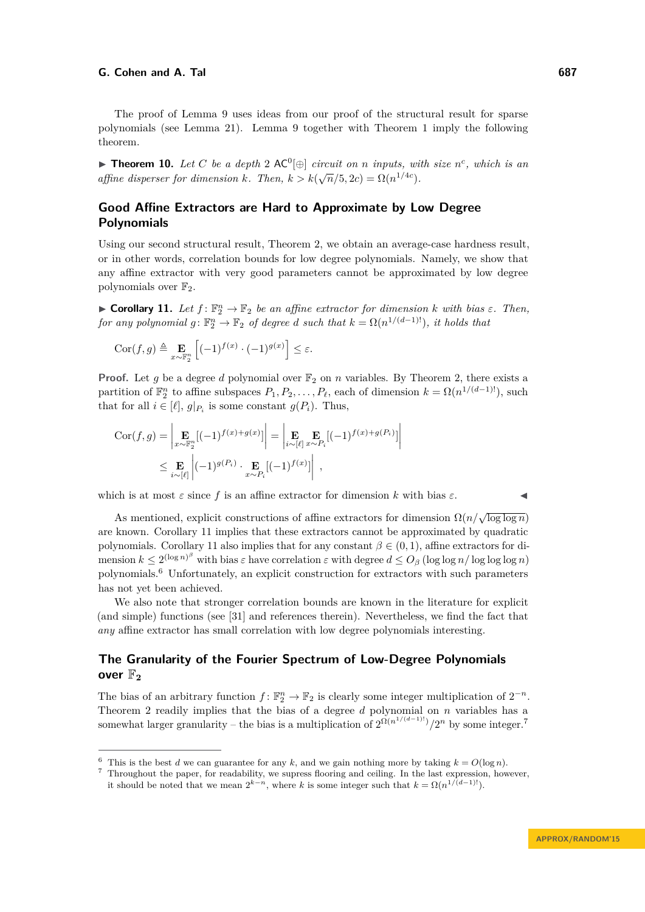The proof of Lemma [9](#page-6-1) uses ideas from our proof of the structural result for sparse polynomials (see Lemma [21\)](#page-15-1). Lemma [9](#page-6-1) together with Theorem [1](#page-1-0) imply the following theorem.

<span id="page-7-3"></span>**► Theorem 10.** *Let C be a depth* 2 AC<sup>0</sup> $[⊕]$  *circuit on n inputs, with size*  $n^c$ *, which is an affine disperser for dimension*  $k$ *. Then,*  $k > k(\sqrt{n}/5, 2c) = \Omega(n^{1/4c})$ *.* 

## **Good Affine Extractors are Hard to Approximate by Low Degree Polynomials**

Using our second structural result, Theorem [2,](#page-2-0) we obtain an average-case hardness result, or in other words, correlation bounds for low degree polynomials. Namely, we show that any affine extractor with very good parameters cannot be approximated by low degree polynomials over  $\mathbb{F}_2$ .

<span id="page-7-0"></span>**Example 11.** Let  $f: \mathbb{F}_2^n \to \mathbb{F}_2$  be an affine extractor for dimension *k* with bias  $\varepsilon$ . Then,  $for any polynomial g: \mathbb{F}_2^n \to \mathbb{F}_2$  *of degree d such that*  $k = \Omega(n^{1/(d-1)!})$ *, it holds that* 

$$
Cor(f,g) \triangleq \mathop{\mathbf{E}}_{x \sim \mathbb{F}_2^n} \left[ (-1)^{f(x)} \cdot (-1)^{g(x)} \right] \le \varepsilon.
$$

**Proof.** Let g be a degree d polynomial over  $\mathbb{F}_2$  on n variables. By Theorem [2,](#page-2-0) there exists a partition of  $\mathbb{F}_2^n$  to affine subspaces  $P_1, P_2, \ldots, P_\ell$ , each of dimension  $k = \Omega(n^{1/(d-1)!})$ , such that for all  $i \in [\ell], g|_{P_i}$  is some constant  $g(P_i)$ . Thus,

$$
Cor(f,g) = \left| \underset{x \sim \mathbb{F}_2^n}{\mathbf{E}} [(-1)^{f(x) + g(x)}] \right| = \left| \underset{x \sim P_i}{\mathbf{E}} \underset{x \sim P_i}{\mathbf{E}} [(-1)^{f(x) + g(P_i)}] \right|
$$
  

$$
\leq \underset{i \sim [\ell]}{\mathbf{E}} \left| (-1)^{g(P_i)} \cdot \underset{x \sim P_i}{\mathbf{E}} [(-1)^{f(x)}] \right|,
$$

which is at most  $\varepsilon$  since f is an affine extractor for dimension k with bias  $\varepsilon$ .

As mentioned, explicit constructions of affine extractors for dimension  $\Omega(n/\sqrt{\log \log n})$ are known. Corollary [11](#page-7-0) implies that these extractors cannot be approximated by quadratic polynomials. Corollary [11](#page-7-0) also implies that for any constant  $\beta \in (0,1)$ , affine extractors for di- $\limsup k \leq 2^{(\log n)^{\beta}}$  with bias  $\varepsilon$  have correlation  $\varepsilon$  with degree  $d \leq O_{\beta}$  (log log *n*/log log *n*) polynomials.[6](#page-7-1) Unfortunately, an explicit construction for extractors with such parameters has not yet been achieved.

We also note that stronger correlation bounds are known in the literature for explicit (and simple) functions (see [\[31\]](#page-23-11) and references therein). Nevertheless, we find the fact that *any* affine extractor has small correlation with low degree polynomials interesting.

## **The Granularity of the Fourier Spectrum of Low-Degree Polynomials over**  $\mathbb{F}_2$

The bias of an arbitrary function  $f: \mathbb{F}_2^n \to \mathbb{F}_2$  is clearly some integer multiplication of  $2^{-n}$ . Theorem [2](#page-2-0) readily implies that the bias of a degree *d* polynomial on *n* variables has a somewhat larger granularity – the bias is a multiplication of  $2^{\Omega(n^{1/(d-1)!})}/2^n$  by some integer.<sup>[7](#page-7-2)</sup>

<span id="page-7-1"></span><sup>&</sup>lt;sup>6</sup> This is the best *d* we can guarantee for any *k*, and we gain nothing more by taking  $k = O(\log n)$ .

<span id="page-7-2"></span><sup>7</sup> Throughout the paper, for readability, we supress flooring and ceiling. In the last expression, however, it should be noted that we mean  $2^{k-n}$ , where *k* is some integer such that  $k = \Omega(n^{1/(d-1)!})$ .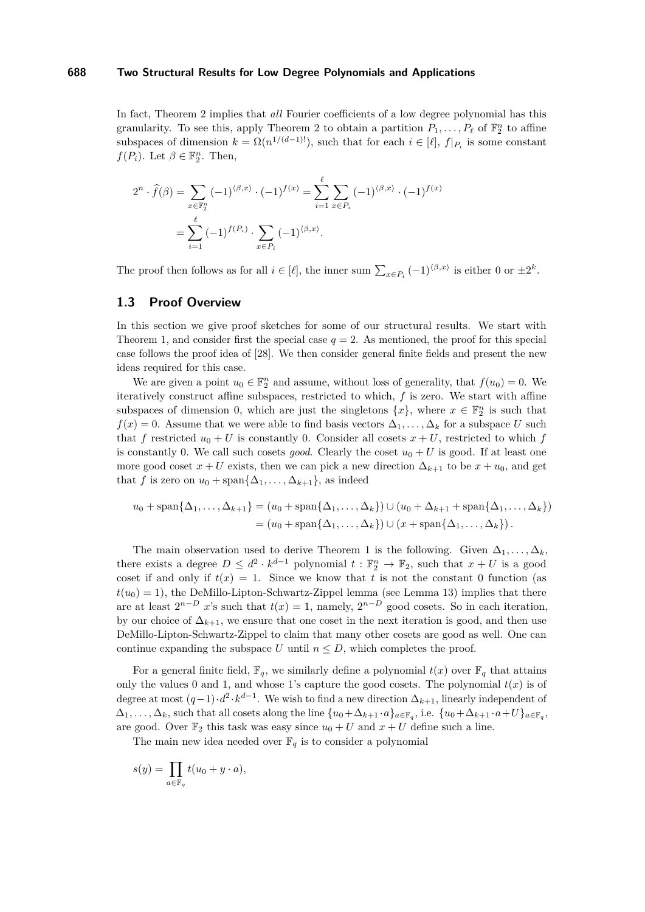In fact, Theorem [2](#page-2-0) implies that *all* Fourier coefficients of a low degree polynomial has this granularity. To see this, apply Theorem [2](#page-2-0) to obtain a partition  $P_1, \ldots, P_\ell$  of  $\mathbb{F}_2^n$  to affine subspaces of dimension  $k = \Omega(n^{1/(d-1)!})$ , such that for each  $i \in [\ell], f|_{P_i}$  is some constant *f*( $P_i$ ). Let  $\beta \in \mathbb{F}_2^n$ . Then,

$$
2^{n} \cdot \widehat{f}(\beta) = \sum_{x \in \mathbb{F}_{2}^{n}} (-1)^{\langle \beta, x \rangle} \cdot (-1)^{f(x)} = \sum_{i=1}^{\ell} \sum_{x \in P_{i}} (-1)^{\langle \beta, x \rangle} \cdot (-1)^{f(x)}
$$

$$
= \sum_{i=1}^{\ell} (-1)^{f(P_{i})} \cdot \sum_{x \in P_{i}} (-1)^{\langle \beta, x \rangle}.
$$

The proof then follows as for all  $i \in [\ell]$ , the inner sum  $\sum_{x \in P_i} (-1)^{\langle \beta, x \rangle}$  is either 0 or  $\pm 2^k$ .

## **1.3 Proof Overview**

In this section we give proof sketches for some of our structural results. We start with Theorem [1,](#page-1-0) and consider first the special case  $q = 2$ . As mentioned, the proof for this special case follows the proof idea of [\[28\]](#page-23-1). We then consider general finite fields and present the new ideas required for this case.

We are given a point  $u_0 \in \mathbb{F}_2^n$  and assume, without loss of generality, that  $f(u_0) = 0$ . We iteratively construct affine subspaces, restricted to which, *f* is zero. We start with affine subspaces of dimension 0, which are just the singletons  $\{x\}$ , where  $x \in \mathbb{F}_2^n$  is such that  $f(x) = 0$ . Assume that we were able to find basis vectors  $\Delta_1, \ldots, \Delta_k$  for a subspace *U* such that *f* restricted  $u_0 + U$  is constantly 0. Consider all cosets  $x + U$ , restricted to which *f* is constantly 0. We call such cosets *good*. Clearly the coset  $u_0 + U$  is good. If at least one more good coset  $x + U$  exists, then we can pick a new direction  $\Delta_{k+1}$  to be  $x + u_0$ , and get that *f* is zero on  $u_0$  + span $\{\Delta_1, \ldots, \Delta_{k+1}\}$ , as indeed

$$
u_0 + \operatorname{span}\{\Delta_1, \dots, \Delta_{k+1}\} = (u_0 + \operatorname{span}\{\Delta_1, \dots, \Delta_k\}) \cup (u_0 + \Delta_{k+1} + \operatorname{span}\{\Delta_1, \dots, \Delta_k\})
$$
  
=  $(u_0 + \operatorname{span}\{\Delta_1, \dots, \Delta_k\}) \cup (x + \operatorname{span}\{\Delta_1, \dots, \Delta_k\}).$ 

The main observation used to derive Theorem [1](#page-1-0) is the following. Given  $\Delta_1, \ldots, \Delta_k$ , there exists a degree  $D \leq d^2 \cdot k^{d-1}$  polynomial  $t : \mathbb{F}_2^n \to \mathbb{F}_2$ , such that  $x + U$  is a good coset if and only if  $t(x) = 1$ . Since we know that *t* is not the constant 0 function (as  $t(u_0) = 1$ , the DeMillo-Lipton-Schwartz-Zippel lemma (see Lemma [13\)](#page-10-0) implies that there are at least  $2^{n-D}$  *x*'s such that  $t(x) = 1$ , namely,  $2^{n-D}$  good cosets. So in each iteration, by our choice of  $\Delta_{k+1}$ , we ensure that one coset in the next iteration is good, and then use DeMillo-Lipton-Schwartz-Zippel to claim that many other cosets are good as well. One can continue expanding the subspace *U* until  $n \leq D$ , which completes the proof.

For a general finite field,  $\mathbb{F}_q$ , we similarly define a polynomial  $t(x)$  over  $\mathbb{F}_q$  that attains only the values 0 and 1, and whose 1's capture the good cosets. The polynomial  $t(x)$  is of degree at most  $(q-1) \cdot d^2 \cdot k^{d-1}$ . We wish to find a new direction  $\Delta_{k+1}$ , linearly independent of  $\Delta_1, \ldots, \Delta_k$ , such that all cosets along the line  $\{u_0 + \Delta_{k+1} \cdot a\}_{a \in \mathbb{F}_q}$ , i.e.  $\{u_0 + \Delta_{k+1} \cdot a + U\}_{a \in \mathbb{F}_q}$ , are good. Over  $\mathbb{F}_2$  this task was easy since  $u_0 + U$  and  $x + U$  define such a line.

The main new idea needed over  $\mathbb{F}_q$  is to consider a polynomial

$$
s(y) = \prod_{a \in \mathbb{F}_q} t(u_0 + y \cdot a),
$$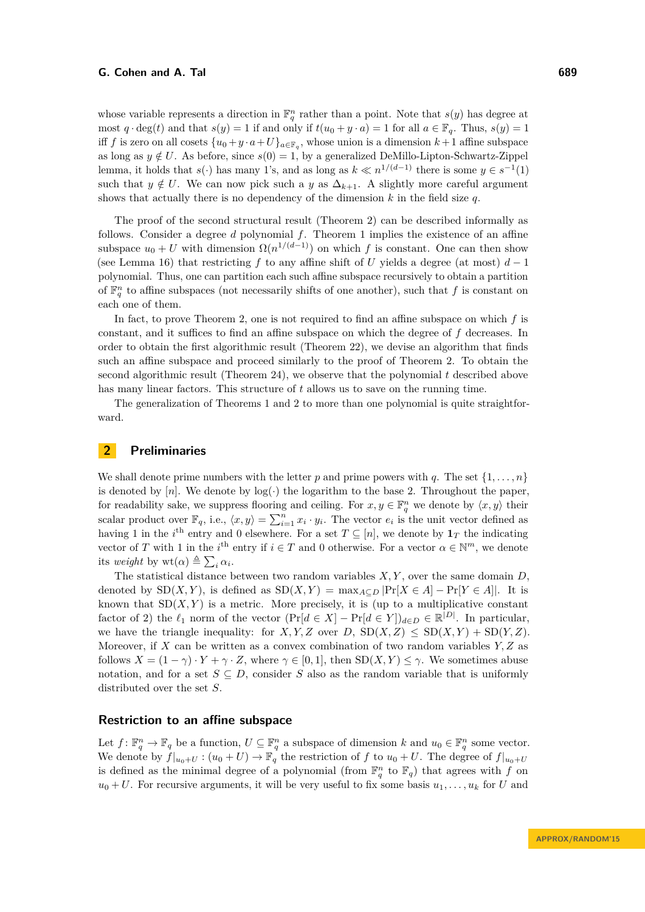whose variable represents a direction in  $\mathbb{F}_q^n$  rather than a point. Note that  $s(y)$  has degree at most  $q \cdot \deg(t)$  and that  $s(y) = 1$  if and only if  $t(u_0 + y \cdot a) = 1$  for all  $a \in \mathbb{F}_q$ . Thus,  $s(y) = 1$ iff *f* is zero on all cosets  $\{u_0 + y \cdot a + U\}_{a \in \mathbb{F}_q}$ , whose union is a dimension  $k+1$  affine subspace as long as  $y \notin U$ . As before, since  $s(0) = 1$ , by a generalized DeMillo-Lipton-Schwartz-Zippel lemma, it holds that  $s(\cdot)$  has many 1's, and as long as  $k \ll n^{1/(d-1)}$  there is some  $y \in s^{-1}(1)$ such that  $y \notin U$ . We can now pick such a *y* as  $\Delta_{k+1}$ . A slightly more careful argument shows that actually there is no dependency of the dimension *k* in the field size *q*.

The proof of the second structural result (Theorem [2\)](#page-2-0) can be described informally as follows. Consider a degree *d* polynomial *f*. Theorem [1](#page-1-0) implies the existence of an affine subspace  $u_0 + U$  with dimension  $\Omega(n^{1/(d-1)})$  on which *f* is constant. One can then show (see Lemma [16\)](#page-13-0) that restricting *f* to any affine shift of *U* yields a degree (at most) *d* − 1 polynomial. Thus, one can partition each such affine subspace recursively to obtain a partition of  $\mathbb{F}_q^n$  to affine subspaces (not necessarily shifts of one another), such that f is constant on each one of them.

In fact, to prove Theorem [2,](#page-2-0) one is not required to find an affine subspace on which *f* is constant, and it suffices to find an affine subspace on which the degree of *f* decreases. In order to obtain the first algorithmic result (Theorem [22\)](#page-16-1), we devise an algorithm that finds such an affine subspace and proceed similarly to the proof of Theorem [2.](#page-2-0) To obtain the second algorithmic result (Theorem [24\)](#page-16-2), we observe that the polynomial *t* described above has many linear factors. This structure of *t* allows us to save on the running time.

The generalization of Theorems [1](#page-1-0) and [2](#page-2-0) to more than one polynomial is quite straightforward.

## **2 Preliminaries**

We shall denote prime numbers with the letter  $p$  and prime powers with  $q$ . The set  $\{1, \ldots, n\}$ is denoted by  $[n]$ . We denote by  $log(\cdot)$  the logarithm to the base 2. Throughout the paper, for readability sake, we suppress flooring and ceiling. For  $x, y \in \mathbb{F}_q^n$  we denote by  $\langle x, y \rangle$  their scalar product over  $\mathbb{F}_q$ , i.e.,  $\langle x, y \rangle = \sum_{i=1}^n x_i \cdot y_i$ . The vector  $e_i$  is the unit vector defined as having 1 in the *i*<sup>th</sup> entry and 0 elsewhere. For a set  $T \subseteq [n]$ , we denote by  $\mathbf{1}_T$  the indicating vector of *T* with 1 in the *i*<sup>th</sup> entry if  $i \in T$  and 0 otherwise. For a vector  $\alpha \in \mathbb{N}^m$ , we denote its *weight* by  $\operatorname{wt}(\alpha) \triangleq \sum_i \alpha_i$ .

The statistical distance between two random variables *X, Y* , over the same domain *D*, denoted by  $SD(X, Y)$ , is defined as  $SD(X, Y) = max_{A \subseteq D} |Pr[X \in A] - Pr[Y \in A]|$ . It is known that  $SD(X, Y)$  is a metric. More precisely, it is (up to a multiplicative constant factor of 2) the  $\ell_1$  norm of the vector  $(\Pr[d \in X] - \Pr[d \in Y])_{d \in D} \in \mathbb{R}^{|D|}$ . In particular, we have the triangle inequality: for *X, Y, Z* over *D*,  $SD(X, Z) \leq SD(X, Y) + SD(Y, Z)$ . Moreover, if *X* can be written as a convex combination of two random variables *Y, Z* as follows  $X = (1 - \gamma) \cdot Y + \gamma \cdot Z$ , where  $\gamma \in [0, 1]$ , then  $SD(X, Y) \leq \gamma$ . We sometimes abuse notation, and for a set  $S \subseteq D$ , consider *S* also as the random variable that is uniformly distributed over the set *S*.

### **Restriction to an affine subspace**

Let  $f: \mathbb{F}_q^n \to \mathbb{F}_q$  be a function,  $U \subseteq \mathbb{F}_q^n$  a subspace of dimension  $k$  and  $u_0 \in \mathbb{F}_q^n$  some vector. We denote by  $f|_{u_0+U}$  :  $(u_0+U) \to \mathbb{F}_q$  the restriction of f to  $u_0+U$ . The degree of  $f|_{u_0+U}$ is defined as the minimal degree of a polynomial (from  $\mathbb{F}_q^n$  to  $\mathbb{F}_q$ ) that agrees with *f* on  $u_0 + U$ . For recursive arguments, it will be very useful to fix some basis  $u_1, \ldots, u_k$  for *U* and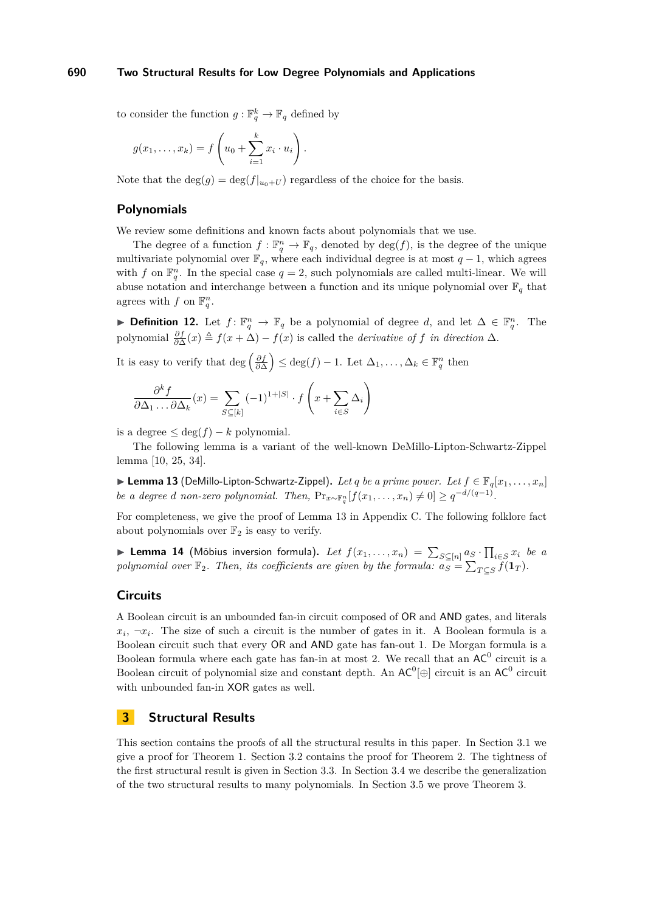to consider the function  $g: \mathbb{F}_q^k \to \mathbb{F}_q$  defined by

$$
g(x_1,\ldots,x_k)=f\left(u_0+\sum_{i=1}^k x_i\cdot u_i\right).
$$

Note that the  $\deg(g) = \deg(f|_{u_0+U})$  regardless of the choice for the basis.

## **Polynomials**

We review some definitions and known facts about polynomials that we use.

The degree of a function  $f: \mathbb{F}_q^n \to \mathbb{F}_q$ , denoted by  $\deg(f)$ , is the degree of the unique multivariate polynomial over  $\mathbb{F}_q$ , where each individual degree is at most  $q-1$ , which agrees with *f* on  $\mathbb{F}_q^n$ . In the special case  $q = 2$ , such polynomials are called multi-linear. We will abuse notation and interchange between a function and its unique polynomial over  $\mathbb{F}_q$  that agrees with  $f$  on  $\mathbb{F}_q^n$ .

► **Definition 12.** Let  $f: \mathbb{F}_q^n \to \mathbb{F}_q$  be a polynomial of degree *d*, and let  $\Delta \in \mathbb{F}_q^n$ . The polynomial  $\frac{\partial f}{\partial \Delta}(x) \triangleq f(x + \Delta) - f(x)$  is called the *derivative of f in direction*  $\Delta$ .

It is easy to verify that  $\deg\left(\frac{\partial f}{\partial \Delta}\right) \leq \deg(f) - 1$ . Let  $\Delta_1, \ldots, \Delta_k \in \mathbb{F}_q^n$  then

$$
\frac{\partial^k f}{\partial \Delta_1 \dots \partial \Delta_k}(x) = \sum_{S \subseteq [k]} (-1)^{1+|S|} \cdot f\left(x + \sum_{i \in S} \Delta_i\right)
$$

is a degree  $\leq$  deg( $f$ ) –  $k$  polynomial.

The following lemma is a variant of the well-known DeMillo-Lipton-Schwartz-Zippel lemma [\[10,](#page-22-17) [25,](#page-23-12) [34\]](#page-23-13).

<span id="page-10-0"></span>▶ Lemma 13 (DeMillo-Lipton-Schwartz-Zippel). Let q be a prime power. Let  $f \in \mathbb{F}_q[x_1, \ldots, x_n]$ *be a degree d non-zero polynomial. Then,*  $Pr_{x \sim \mathbb{F}_q^n} [f(x_1, \ldots, x_n) \neq 0] \geq q^{-d/(q-1)}$ .

For completeness, we give the proof of Lemma [13](#page-10-0) in Appendix [C.](#page-28-0) The following folklore fact about polynomials over  $\mathbb{F}_2$  is easy to verify.

<span id="page-10-1"></span>▶ **Lemma 14** (Möbius inversion formula). Let  $f(x_1, \ldots, x_n) = \sum_{S \subseteq [n]} a_S \cdot \prod_{i \in S} x_i$  be a *polynomial over*  $\mathbb{F}_2$ *. Then, its coefficients are given by the formula:*  $a_S = \sum_{T \subseteq S} f(\mathbf{1}_T)$ *.* 

## **Circuits**

A Boolean circuit is an unbounded fan-in circuit composed of OR and AND gates, and literals  $x_i, \neg x_i$ . The size of such a circuit is the number of gates in it. A Boolean formula is a Boolean circuit such that every OR and AND gate has fan-out 1. De Morgan formula is a Boolean formula where each gate has fan-in at most 2. We recall that an  $AC^0$  circuit is a Boolean circuit of polynomial size and constant depth. An  $AC^0[\oplus]$  circuit is an  $AC^0$  circuit with unbounded fan-in XOR gates as well.

## **3 Structural Results**

This section contains the proofs of all the structural results in this paper. In Section [3.1](#page-11-0) we give a proof for Theorem [1.](#page-1-0) Section [3.2](#page-13-1) contains the proof for Theorem [2.](#page-2-0) The tightness of the first structural result is given in Section [3.3.](#page-14-0) In Section [3.4](#page-14-1) we describe the generalization of the two structural results to many polynomials. In Section [3.5](#page-15-2) we prove Theorem [3.](#page-3-0)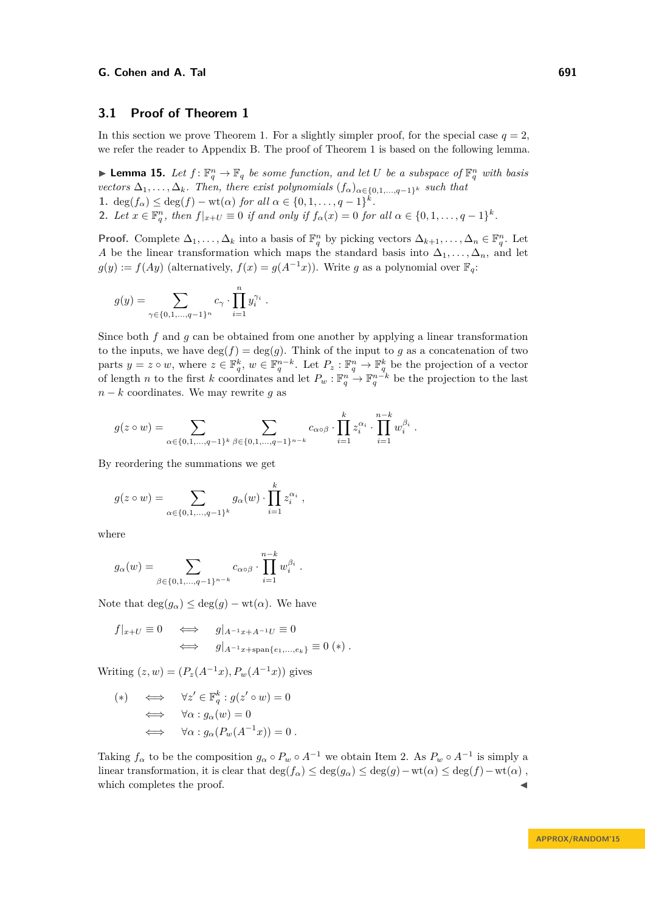## <span id="page-11-0"></span>**3.1 Proof of Theorem [1](#page-1-0)**

In this section we prove Theorem [1.](#page-1-0) For a slightly simpler proof, for the special case  $q = 2$ , we refer the reader to Appendix [B.](#page-25-0) The proof of Theorem [1](#page-1-0) is based on the following lemma.

<span id="page-11-2"></span>**Example 15.** Let  $f: \mathbb{F}_q^n \to \mathbb{F}_q$  be some function, and let U be a subspace of  $\mathbb{F}_q^n$  with basis *vectors*  $\Delta_1, \ldots, \Delta_k$ *. Then, there exist polynomials*  $(f_\alpha)_{\alpha \in \{0,1,\ldots,q-1\}^k}$  *such that* **1.** deg( $f_{\alpha}$ )  $\leq$  deg( $f$ ) – wt( $\alpha$ ) *for all*  $\alpha \in \{0, 1, ..., q - 1\}^k$ . 2. Let  $x \in \mathbb{F}_q^n$ , then  $f|_{x+U} \equiv 0$  if and only if  $f_\alpha(x) = 0$  for all  $\alpha \in \{0, 1, \ldots, q-1\}^k$ .

<span id="page-11-1"></span>**Proof.** Complete  $\Delta_1, \ldots, \Delta_k$  into a basis of  $\mathbb{F}_q^n$  by picking vectors  $\Delta_{k+1}, \ldots, \Delta_n \in \mathbb{F}_q^n$ . Let *A* be the linear transformation which maps the standard basis into  $\Delta_1, \ldots, \Delta_n$ , and let  $g(y) := f(Ay)$  (alternatively,  $f(x) = g(A^{-1}x)$ ). Write *g* as a polynomial over  $\mathbb{F}_q$ :

$$
g(y)=\sum_{\gamma\in\{0,1,...,q-1\}^n}c_\gamma\cdot\prod_{i=1}^ny_i^{\gamma_i}
$$

Since both *f* and *g* can be obtained from one another by applying a linear transformation to the inputs, we have  $deg(f) = deg(g)$ . Think of the input to g as a concatenation of two parts  $y = z \circ w$ , where  $z \in \mathbb{F}_q^k$ ,  $w \in \mathbb{F}_q^{n-k}$ . Let  $P_z : \mathbb{F}_q^n \to \mathbb{F}_q^k$  be the projection of a vector of length *n* to the first *k* coordinates and let  $P_w : \mathbb{F}_q^n \to \mathbb{F}_q^{n-k}$  be the projection to the last  $n - k$  coordinates. We may rewrite g as

$$
g(z \circ w) = \sum_{\alpha \in \{0,1,\dots,q-1\}^k} \sum_{\beta \in \{0,1,\dots,q-1\}^{n-k}} c_{\alpha \circ \beta} \cdot \prod_{i=1}^k z_i^{\alpha_i} \cdot \prod_{i=1}^{n-k} w_i^{\beta_i}.
$$

*.*

By reordering the summations we get

$$
g(z \circ w) = \sum_{\alpha \in \{0, 1, ..., q-1\}^k} g_{\alpha}(w) \cdot \prod_{i=1}^k z_i^{\alpha_i} ,
$$

where

$$
g_{\alpha}(w) = \sum_{\beta \in \{0, 1, \dots, q-1\}^{n-k}} c_{\alpha \circ \beta} \cdot \prod_{i=1}^{n-k} w_i^{\beta_i}.
$$

Note that  $deg(g_{\alpha}) \leq deg(g) - wt(\alpha)$ . We have

$$
f|_{x+U} \equiv 0 \iff g|_{A^{-1}x+A^{-1}U} \equiv 0
$$
  

$$
\iff g|_{A^{-1}x+\text{span}\{e_1,\dots,e_k\}} \equiv 0 (*) .
$$

Writing  $(z, w) = (P_z(A^{-1}x), P_w(A^{-1}x))$  gives

$$
(*) \iff \forall z' \in \mathbb{F}_q^k : g(z' \circ w) = 0
$$
  

$$
\iff \forall \alpha : g_\alpha(w) = 0
$$
  

$$
\iff \forall \alpha : g_\alpha(P_w(A^{-1}x)) = 0.
$$

Taking  $f_{\alpha}$  to be the composition  $g_{\alpha} \circ P_w \circ A^{-1}$  we obtain Item [2.](#page-11-1) As  $P_w \circ A^{-1}$  is simply a linear transformation, it is clear that  $\deg(f_\alpha) \leq \deg(g_\alpha) \leq \deg(g) - \text{wt}(\alpha) \leq \deg(f) - \text{wt}(\alpha)$ , which completes the proof.

**APPROX/RANDOM'15**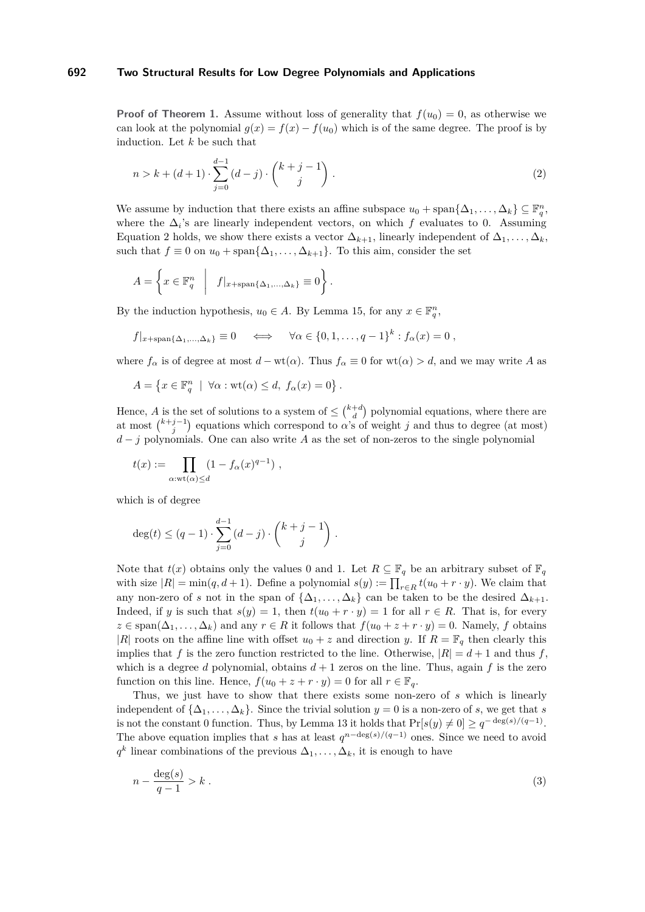**Proof of Theorem [1.](#page-1-0)** Assume without loss of generality that  $f(u_0) = 0$ , as otherwise we can look at the polynomial  $g(x) = f(x) - f(u_0)$  which is of the same degree. The proof is by induction. Let *k* be such that

<span id="page-12-0"></span>
$$
n > k + (d+1) \cdot \sum_{j=0}^{d-1} (d-j) \cdot \binom{k+j-1}{j} \,. \tag{2}
$$

We assume by induction that there exists an affine subspace  $u_0 + \text{span}\{\Delta_1, \ldots, \Delta_k\} \subseteq \mathbb{F}_q^n$ , where the  $\Delta_i$ 's are linearly independent vectors, on which  $f$  evaluates to 0. Assuming Equation [2](#page-12-0) holds, we show there exists a vector  $\Delta_{k+1}$ , linearly independent of  $\Delta_1, \ldots, \Delta_k$ , such that  $f \equiv 0$  on  $u_0 + \text{span}\{\Delta_1, \ldots, \Delta_{k+1}\}.$  To this aim, consider the set

*.*

$$
A = \left\{ x \in \mathbb{F}_q^n \middle| f|_{x + \text{span}\{\Delta_1, ..., \Delta_k\}} \equiv 0 \right\}
$$

By the induction hypothesis,  $u_0 \in A$ . By Lemma [15,](#page-11-2) for any  $x \in \mathbb{F}_q^n$ ,

$$
f|_{x+\text{span}\{\Delta_1,\ldots,\Delta_k\}} \equiv 0 \quad \iff \quad \forall \alpha \in \{0,1,\ldots,q-1\}^k : f_\alpha(x) = 0 ,
$$

where  $f_{\alpha}$  is of degree at most  $d - \text{wt}(\alpha)$ . Thus  $f_{\alpha} \equiv 0$  for  $\text{wt}(\alpha) > d$ , and we may write *A* as

$$
A = \{ x \in \mathbb{F}_q^n \mid \forall \alpha : \text{wt}(\alpha) \leq d, \ f_\alpha(x) = 0 \}.
$$

Hence, *A* is the set of solutions to a system of  $\leq {k+d \choose d}$  polynomial equations, where there are at most  $\binom{k+j-1}{j}$  equations which correspond to *α*'s of weight *j* and thus to degree (at most) *d* − *j* polynomials. One can also write *A* as the set of non-zeros to the single polynomial

$$
t(x) := \prod_{\alpha: \text{wt}(\alpha) \le d} (1 - f_{\alpha}(x)^{q-1}),
$$

which is of degree

$$
\deg(t) \le (q-1) \cdot \sum_{j=0}^{d-1} (d-j) \cdot \binom{k+j-1}{j} \, .
$$

Note that  $t(x)$  obtains only the values 0 and 1. Let  $R \subseteq \mathbb{F}_q$  be an arbitrary subset of  $\mathbb{F}_q$ with size  $|R| = \min(q, d + 1)$ . Define a polynomial  $s(y) := \prod_{r \in R} t(u_0 + r \cdot y)$ . We claim that any non-zero of *s* not in the span of  $\{\Delta_1, \ldots, \Delta_k\}$  can be taken to be the desired  $\Delta_{k+1}$ . Indeed, if *y* is such that  $s(y) = 1$ , then  $t(u_0 + r \cdot y) = 1$  for all  $r \in R$ . That is, for every  $z \in \text{span}(\Delta_1, \ldots, \Delta_k)$  and any  $r \in R$  it follows that  $f(u_0 + z + r \cdot y) = 0$ . Namely, *f* obtains |*R*| roots on the affine line with offset  $u_0 + z$  and direction *y*. If  $R = \mathbb{F}_q$  then clearly this implies that *f* is the zero function restricted to the line. Otherwise,  $|R| = d + 1$  and thus *f*, which is a degree *d* polynomial, obtains  $d+1$  zeros on the line. Thus, again *f* is the zero function on this line. Hence,  $f(u_0 + z + r \cdot y) = 0$  for all  $r \in \mathbb{F}_q$ .

Thus, we just have to show that there exists some non-zero of *s* which is linearly independent of  $\{\Delta_1, \ldots, \Delta_k\}$ . Since the trivial solution  $y = 0$  is a non-zero of *s*, we get that *s* is not the constant 0 function. Thus, by Lemma [13](#page-10-0) it holds that  $Pr[s(y) \neq 0] \geq q^{-\deg(s)/(q-1)}$ . The above equation implies that *s* has at least  $q^{n-\deg(s)/(q-1)}$  ones. Since we need to avoid  $q^k$  linear combinations of the previous  $\Delta_1, \ldots, \Delta_k$ , it is enough to have

<span id="page-12-1"></span>
$$
n - \frac{\deg(s)}{q - 1} > k \tag{3}
$$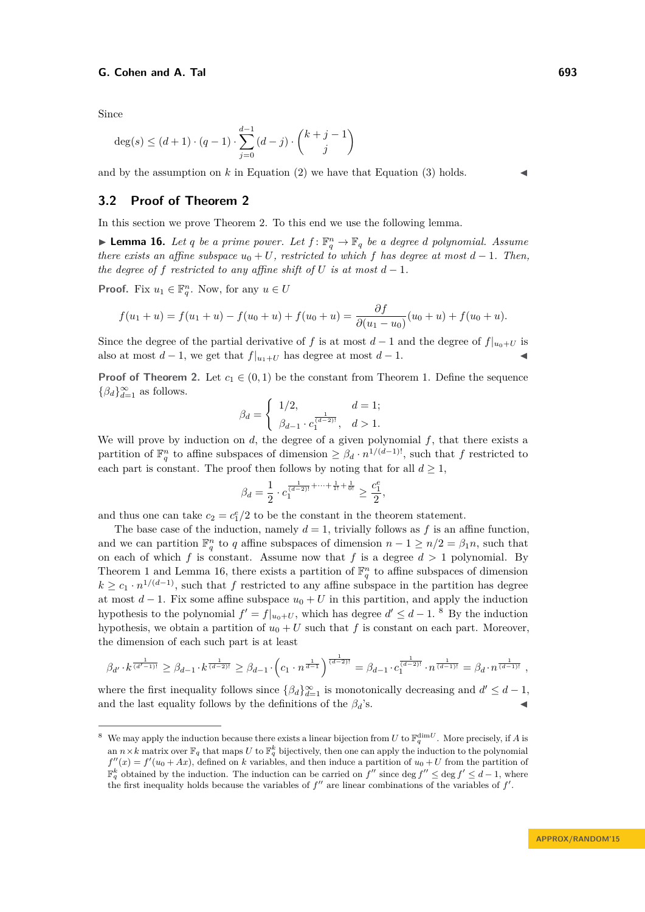Since

$$
\deg(s) \le (d+1) \cdot (q-1) \cdot \sum_{j=0}^{d-1} (d-j) \cdot \binom{k+j-1}{j}
$$

and by the assumption on  $k$  in Equation [\(2\)](#page-12-0) we have that Equation [\(3\)](#page-12-1) holds.

## <span id="page-13-1"></span>**3.2 Proof of Theorem [2](#page-2-0)**

In this section we prove Theorem [2.](#page-2-0) To this end we use the following lemma.

<span id="page-13-0"></span>**Example 16.** Let *q* be a prime power. Let  $f: \mathbb{F}_q^n \to \mathbb{F}_q$  be a degree *d* polynomial. Assume *there exists an affine subspace*  $u_0 + U$ *, restricted to which f has degree at most*  $d - 1$ *. Then, the degree of f restricted to any affine shift of U is at most*  $d-1$ *.* 

**Proof.** Fix  $u_1 \in \mathbb{F}_q^n$ . Now, for any  $u \in U$ 

$$
f(u_1 + u) = f(u_1 + u) - f(u_0 + u) + f(u_0 + u) = \frac{\partial f}{\partial (u_1 - u_0)}(u_0 + u) + f(u_0 + u).
$$

Since the degree of the partial derivative of *f* is at most  $d-1$  and the degree of  $f|_{u_0+U}$  is also at most  $d-1$ , we get that  $f|_{u_1+U}$  has degree at most  $d-1$ .

**Proof of Theorem [2.](#page-2-0)** Let  $c_1 \in (0,1)$  be the constant from Theorem [1.](#page-1-0) Define the sequence  ${β_d}$ <sub>*d*<sup>∞</sup>=1</sub> as follows.

$$
\beta_d = \begin{cases} 1/2, & d = 1; \\ \beta_{d-1} \cdot c_1^{\frac{1}{(d-2)!}}, & d > 1. \end{cases}
$$

We will prove by induction on *d*, the degree of a given polynomial *f*, that there exists a partition of  $\mathbb{F}_q^n$  to affine subspaces of dimension  $\geq \beta_d \cdot n^{1/(d-1)!}$ , such that *f* restricted to each part is constant. The proof then follows by noting that for all  $d \geq 1$ ,

$$
\beta_d = \frac{1}{2} \cdot c_1^{\frac{1}{(d-2)!} + \cdots + \frac{1}{1!} + \frac{1}{0!}} \geq \frac{c_1^e}{2},
$$

and thus one can take  $c_2 = c_1^e/2$  to be the constant in the theorem statement.

The base case of the induction, namely  $d = 1$ , trivially follows as f is an affine function, and we can partition  $\mathbb{F}_q^n$  to *q* affine subspaces of dimension  $n-1 \geq n/2 = \beta_1 n$ , such that on each of which  $f$  is constant. Assume now that  $f$  is a degree  $d > 1$  polynomial. By Theorem [1](#page-1-0) and Lemma [16,](#page-13-0) there exists a partition of  $\mathbb{F}_q^n$  to affine subspaces of dimension  $k \geq c_1 \cdot n^{1/(d-1)}$ , such that *f* restricted to any affine subspace in the partition has degree at most  $d-1$ . Fix some affine subspace  $u_0 + U$  in this partition, and apply the induction hypothesis to the polynomial  $f' = f|_{u_0+U}$ , which has degree  $d' \leq d-1$ .<sup>[8](#page-13-2)</sup> By the induction hypothesis, we obtain a partition of  $u_0 + U$  such that f is constant on each part. Moreover, the dimension of each such part is at least

$$
\beta_{d'} \cdot k^{\frac{1}{(d'-1)!}} \geq \beta_{d-1} \cdot k^{\frac{1}{(d-2)!}} \geq \beta_{d-1} \cdot \left(c_1 \cdot n^{\frac{1}{d-1}}\right)^{\frac{1}{(d-2)!}} = \beta_{d-1} \cdot c_1^{\frac{1}{(d-2)!}} \cdot n^{\frac{1}{(d-1)!}} = \beta_d \cdot n^{\frac{1}{(d-1)!}},
$$

where the first inequality follows since  $\{\beta_d\}_{d=1}^{\infty}$  is monotonically decreasing and  $d' \leq d-1$ , and the last equality follows by the definitions of the  $\beta_d$ 's.

<span id="page-13-2"></span><sup>&</sup>lt;sup>8</sup> We may apply the induction because there exists a linear bijection from *U* to  $\mathbb{F}_q^{\dim U}$ . More precisely, if *A* is an  $n \times k$  matrix over  $\mathbb{F}_q$  that maps U to  $\mathbb{F}_q^k$  bijectively, then one can apply the induction to the polynomial  $f''(x) = f'(u_0 + Ax)$ , defined on *k* variables, and then induce a partition of  $u_0 + U$  from the partition of  $\mathbb{F}_q^k$  obtained by the induction. The induction can be carried on  $f''$  since deg  $f'' \leq \deg f' \leq d-1$ , where the first inequality holds because the variables of  $f''$  are linear combinations of the variables of  $f'$ .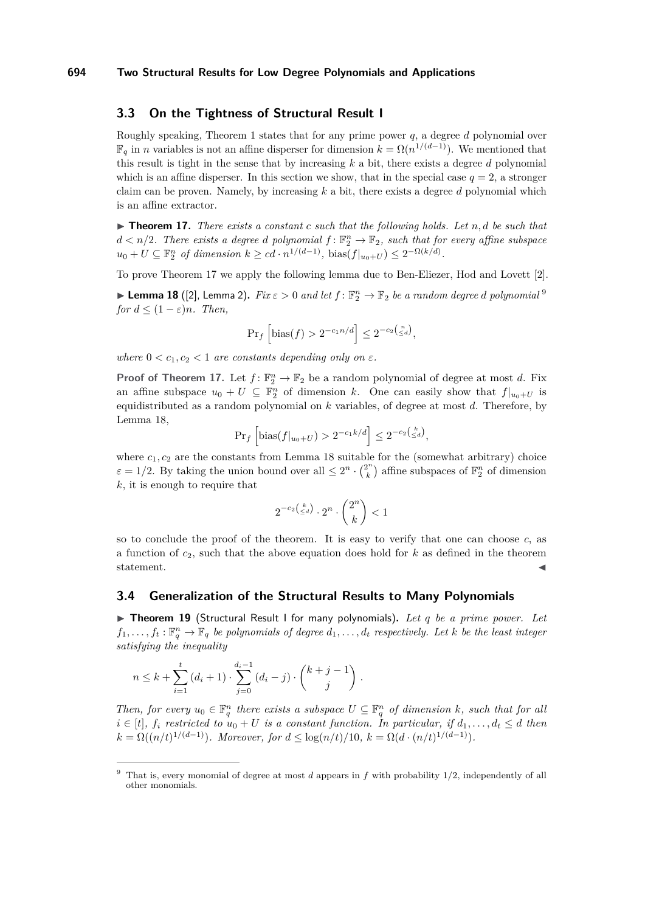## <span id="page-14-0"></span>**3.3 On the Tightness of Structural Result I**

Roughly speaking, Theorem [1](#page-1-0) states that for any prime power *q*, a degree *d* polynomial over  $\mathbb{F}_q$  in *n* variables is not an affine disperser for dimension  $k = \Omega(n^{1/(d-1)})$ . We mentioned that this result is tight in the sense that by increasing *k* a bit, there exists a degree *d* polynomial which is an affine disperser. In this section we show, that in the special case  $q = 2$ , a stronger claim can be proven. Namely, by increasing *k* a bit, there exists a degree *d* polynomial which is an affine extractor.

<span id="page-14-3"></span> $\triangleright$  **Theorem 17.** *There exists a constant c such that the following holds. Let*  $n, d$  *be such that*  $d < n/2$ . There exists a degree *d* polynomial  $f: \mathbb{F}_2^n \to \mathbb{F}_2$ , such that for every affine subspace  $u_0 + U \subseteq \mathbb{F}_2^n$  *of dimension*  $k \geq cd \cdot n^{1/(d-1)}$ , bias $(f|_{u_0+U}) \leq 2^{-\Omega(k/d)}$ .

To prove Theorem [17](#page-14-3) we apply the following lemma due to Ben-Eliezer, Hod and Lovett [\[2\]](#page-22-5).

<span id="page-14-5"></span> $\blacktriangleright$  Lemma 18 ([\[2\]](#page-22-5), Lemma 2).  $Fix\,\varepsilon > 0$  and let  $f: \mathbb{F}_2^n \to \mathbb{F}_2$  be a random degree  $d$  polynomial  $^9$  $^9$ *for*  $d \leq (1 - \varepsilon)n$ *. Then,* 

$$
Pr_f\left[\text{bias}(f) > 2^{-c_1 n/d}\right] \le 2^{-c_2\left(\frac{n}{\le d}\right)},
$$

*where*  $0 < c_1, c_2 < 1$  *are constants depending only on*  $\varepsilon$ *.* 

**Proof of Theorem [17.](#page-14-3)** Let  $f: \mathbb{F}_2^n \to \mathbb{F}_2$  be a random polynomial of degree at most *d*. Fix an affine subspace  $u_0 + U \subseteq \mathbb{F}_2^n$  of dimension *k*. One can easily show that  $f|_{u_0+U}$  is equidistributed as a random polynomial on *k* variables, of degree at most *d*. Therefore, by Lemma [18,](#page-14-5)

$$
\Pr_f\left[\text{bias}(f|_{u_0+U}) > 2^{-c_1 k/d}\right] \le 2^{-c_2\left(\frac{k}{\le d}\right)},
$$

where  $c_1, c_2$  are the constants from Lemma [18](#page-14-5) suitable for the (somewhat arbitrary) choice  $\varepsilon = 1/2$ . By taking the union bound over all  $\leq 2^n \cdot \binom{2^n}{k}$  $\binom{n}{k}$  affine subspaces of  $\mathbb{F}_2^n$  of dimension *k*, it is enough to require that

$$
2^{-c_2\binom{k}{\leq d}}\cdot 2^n\cdot \binom{2^n}{k}<1
$$

so to conclude the proof of the theorem. It is easy to verify that one can choose *c*, as a function of *c*2, such that the above equation does hold for *k* as defined in the theorem statement.  $\blacksquare$ 

#### <span id="page-14-1"></span>**3.4 Generalization of the Structural Results to Many Polynomials**

<span id="page-14-2"></span>▶ Theorem 19 (Structural Result I for many polynomials). Let q be a prime power. Let  $f_1, \ldots, f_t : \mathbb{F}_q^n \to \mathbb{F}_q$  *be polynomials of degree*  $d_1, \ldots, d_t$  *respectively. Let k be the least integer satisfying the inequality*

$$
n \leq k + \sum_{i=1}^{t} (d_i + 1) \cdot \sum_{j=0}^{d_i - 1} (d_i - j) \cdot \binom{k+j-1}{j} \, .
$$

*Then, for every*  $u_0 \in \mathbb{F}_q^n$  *there exists a subspace*  $U \subseteq \mathbb{F}_q^n$  *of dimension k, such that for all*  $i \in [t]$ ,  $f_i$  restricted to  $u_0 + U$  is a constant function. In particular, if  $d_1, \ldots, d_t \leq d$  then  $k = \Omega((n/t)^{1/(d-1)})$ *. Moreover, for*  $d \leq \log(n/t)/10$ *,*  $k = \Omega(d \cdot (n/t)^{1/(d-1)})$ *.* 

<span id="page-14-4"></span><sup>9</sup> That is, every monomial of degree at most *d* appears in *f* with probability 1*/*2, independently of all other monomials.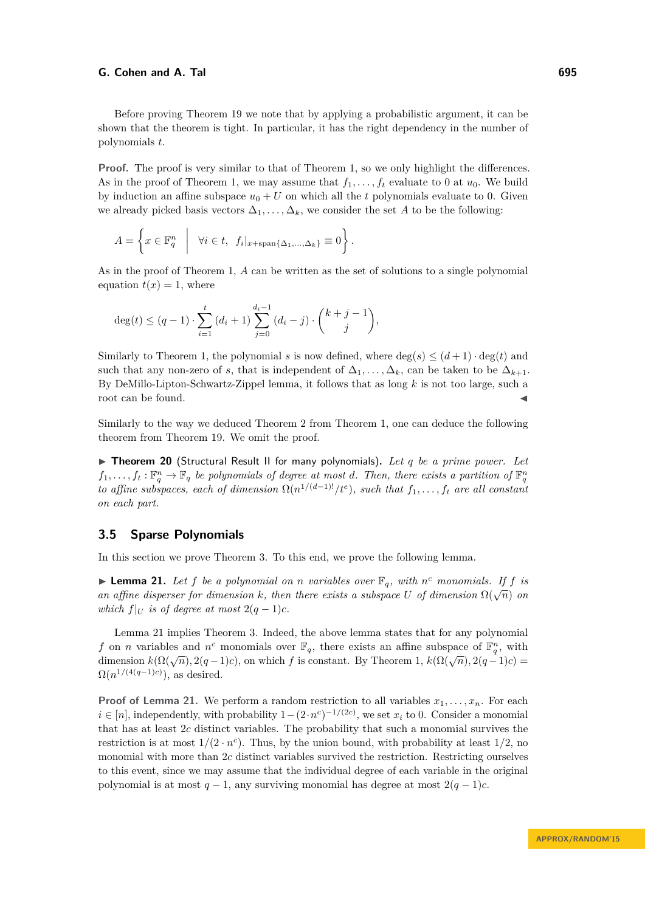Before proving Theorem [19](#page-14-2) we note that by applying a probabilistic argument, it can be shown that the theorem is tight. In particular, it has the right dependency in the number of polynomials *t*.

**Proof.** The proof is very similar to that of Theorem [1,](#page-1-0) so we only highlight the differences. As in the proof of Theorem [1,](#page-1-0) we may assume that  $f_1, \ldots, f_t$  evaluate to 0 at  $u_0$ . We build by induction an affine subspace  $u_0 + U$  on which all the *t* polynomials evaluate to 0. Given we already picked basis vectors  $\Delta_1, \ldots, \Delta_k$ , we consider the set *A* to be the following:

$$
A = \left\{ x \in \mathbb{F}_q^n \middle| \forall i \in t, f_i|_{x + \text{span}\{\Delta_1, ..., \Delta_k\}} \equiv 0 \right\}.
$$

As in the proof of Theorem [1,](#page-1-0) *A* can be written as the set of solutions to a single polynomial equation  $t(x) = 1$ , where

$$
\deg(t) \le (q-1) \cdot \sum_{i=1}^{t} (d_i + 1) \sum_{j=0}^{d_i - 1} (d_i - j) \cdot \binom{k+j-1}{j},
$$

Similarly to Theorem [1,](#page-1-0) the polynomial *s* is now defined, where  $\deg(s) \leq (d+1) \cdot \deg(t)$  and such that any non-zero of *s*, that is independent of  $\Delta_1, \ldots, \Delta_k$ , can be taken to be  $\Delta_{k+1}$ . By DeMillo-Lipton-Schwartz-Zippel lemma, it follows that as long *k* is not too large, such a root can be found.

Similarly to the way we deduced Theorem [2](#page-2-0) from Theorem [1,](#page-1-0) one can deduce the following theorem from Theorem [19.](#page-14-2) We omit the proof.

<span id="page-15-0"></span>▶ Theorem 20 (Structural Result II for many polynomials). Let q be a prime power. Let  $f_1, \ldots, f_t : \mathbb{F}_q^n \to \mathbb{F}_q$  *be polynomials of degree at most d. Then, there exists a partition of*  $\mathbb{F}_q^n$ *to affine subspaces, each of dimension*  $\Omega(n^{1/(d-1)!}/t^e)$ , such that  $f_1, \ldots, f_t$  are all constant *on each part.*

## <span id="page-15-2"></span>**3.5 Sparse Polynomials**

In this section we prove Theorem [3.](#page-3-0) To this end, we prove the following lemma.

<span id="page-15-1"></span>**Example 21.** Let f be a polynomial on *n* variables over  $\mathbb{F}_q$ , with  $n^c$  monomials. If f is **a** *affine disperser for dimension k, then there exists a subspace U* of dimension  $\Omega(\sqrt{n})$  on *which*  $f|_U$  *is of degree at most*  $2(q-1)c$ *.* 

Lemma [21](#page-15-1) implies Theorem [3.](#page-3-0) Indeed, the above lemma states that for any polynomial *f* on *n* variables and *n*<sup>*c*</sup> monomials over  $\mathbb{F}_q$ , there exists an affine subspace of  $\mathbb{F}_q^n$ , with dimension  $k(\Omega(\sqrt{n}), 2(q-1)c)$ , on which *f* is constant. By Theorem [1,](#page-1-0)  $k(\Omega(\sqrt{n}), 2(q-1)c)$  =  $\Omega(n^{1/(4(q-1)c)})$ , as desired.

**Proof of Lemma [21.](#page-15-1)** We perform a random restriction to all variables  $x_1, \ldots, x_n$ . For each *i* ∈ [*n*], independently, with probability  $1-(2 \cdot n^c)^{-1/(2c)}$ , we set *x<sub>i</sub>* to 0. Consider a monomial that has at least 2*c* distinct variables. The probability that such a monomial survives the restriction is at most  $1/(2 \cdot n^c)$ . Thus, by the union bound, with probability at least  $1/2$ , no monomial with more than 2*c* distinct variables survived the restriction. Restricting ourselves to this event, since we may assume that the individual degree of each variable in the original polynomial is at most  $q - 1$ , any surviving monomial has degree at most  $2(q - 1)c$ .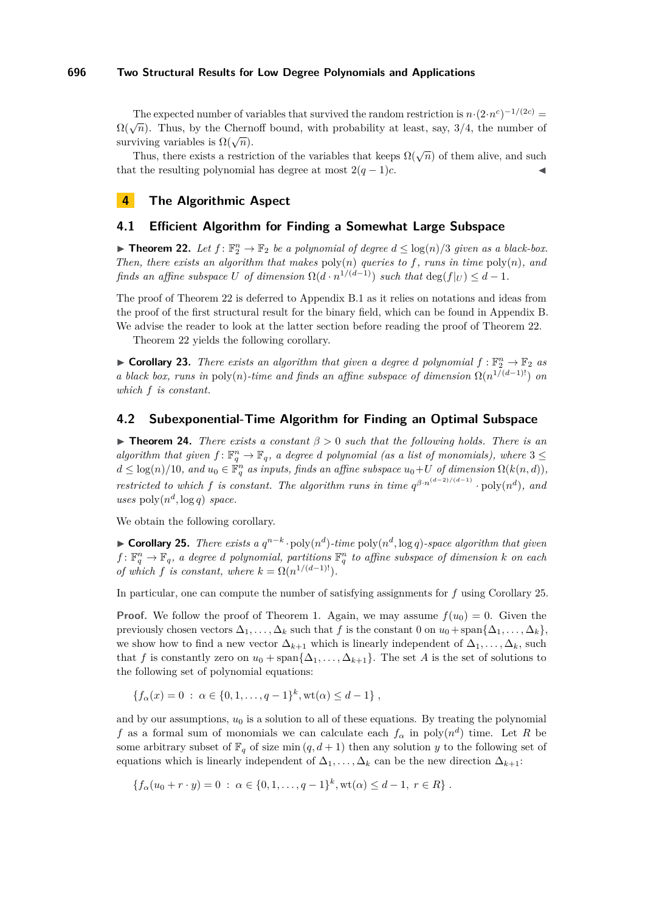The expected number of variables that survived the random restriction is  $n \cdot (2 \cdot n^c)^{-1/(2c)} =$  $\Omega(\sqrt{n})$ . Thus, by the Chernoff bound, with probability at least, say, 3/4, the number of surviving variables is  $\Omega(\sqrt{n})$ .

Thus, there exists a restriction of the variables that keeps  $\Omega(\sqrt{n})$  of them alive, and such that the resulting polynomial has degree at most  $2(q-1)c$ .

## <span id="page-16-0"></span>**4 The Algorithmic Aspect**

## **4.1 Efficient Algorithm for Finding a Somewhat Large Subspace**

<span id="page-16-1"></span>▶ **Theorem 22.** *Let*  $f: \mathbb{F}_2^n \to \mathbb{F}_2$  *be a polynomial of degree*  $d ≤ log(n)/3$  *given as a black-box. Then, there exists an algorithm that makes* poly(*n*) *queries to f, runs in time* poly(*n*)*, and finds an affine subspace U of dimension*  $\Omega(d \cdot n^{1/(d-1)})$  *such that*  $\deg(f|_U) \leq d-1$ *.* 

The proof of Theorem [22](#page-16-1) is deferred to Appendix [B.1](#page-27-0) as it relies on notations and ideas from the proof of the first structural result for the binary field, which can be found in Appendix [B.](#page-25-0) We advise the reader to look at the latter section before reading the proof of Theorem [22.](#page-16-1)

Theorem [22](#page-16-1) yields the following corollary.

**Corollary 23.** *There exists an algorithm that given a degree d polynomial*  $f : \mathbb{F}_2^n \to \mathbb{F}_2$  *as a black box, runs in* poly(*n*)*-time and finds an affine subspace of dimension*  $\Omega(n^{1/(d-1)!})$  *on which f is constant.*

## **4.2 Subexponential-Time Algorithm for Finding an Optimal Subspace**

<span id="page-16-2"></span>I **Theorem 24.** *There exists a constant β >* 0 *such that the following holds. There is an algorithm that given*  $f: \mathbb{F}_q^n \to \mathbb{F}_q$ , a degree *d* polynomial (as a list of monomials), where  $3 \leq$  $d \leq \log(n)/10$ , and  $u_0 \in \mathbb{F}_q^n$  as inputs, finds an affine subspace  $u_0+U$  of dimension  $\Omega(k(n,d))$ , *restricted to which f is constant. The algorithm runs in time*  $q^{\beta \cdot n^{(d-2)/(d-1)}} \cdot \text{poly}(n^d)$ , and  $uses poly(n^d, \log q) space.$ 

We obtain the following corollary.

<span id="page-16-3"></span>▶ **Corollary 25.** *There exists a*  $q^{n-k}$  ·  $poly(n^d)$ -time  $poly(n^d, \log q)$ -space algorithm that given  $f: \mathbb{F}_q^n \to \mathbb{F}_q$ , a degree *d* polynomial, partitions  $\mathbb{F}_q^n$  to affine subspace of dimension *k* on each *of which f is constant, where*  $k = \Omega(n^{1/(d-1)!})$ *.* 

In particular, one can compute the number of satisfying assignments for *f* using Corollary [25.](#page-16-3)

**Proof.** We follow the proof of Theorem [1.](#page-1-0) Again, we may assume  $f(u_0) = 0$ . Given the previously chosen vectors  $\Delta_1, \ldots, \Delta_k$  such that *f* is the constant 0 on  $u_0 + \text{span}\{\Delta_1, \ldots, \Delta_k\}$ , we show how to find a new vector  $\Delta_{k+1}$  which is linearly independent of  $\Delta_1, \ldots, \Delta_k$ , such that *f* is constantly zero on  $u_0 + \text{span}\{\Delta_1, \ldots, \Delta_{k+1}\}.$  The set *A* is the set of solutions to the following set of polynomial equations:

 ${f_{\alpha}(x) = 0 : \alpha \in \{0, 1, \ldots, q-1\}^k, \text{wt}(\alpha) \leq d-1}$ 

and by our assumptions,  $u_0$  is a solution to all of these equations. By treating the polynomial *f* as a formal sum of monomials we can calculate each  $f_{\alpha}$  in poly $(n^d)$  time. Let *R* be some arbitrary subset of  $\mathbb{F}_q$  of size min  $(q, d + 1)$  then any solution *y* to the following set of equations which is linearly independent of  $\Delta_1, \ldots, \Delta_k$  can be the new direction  $\Delta_{k+1}$ :

 ${f_a(u_0 + r \cdot y) = 0 : \alpha \in \{0, 1, \ldots, q - 1\}^k, \text{wt}(\alpha) \leq d - 1, r \in R}$ .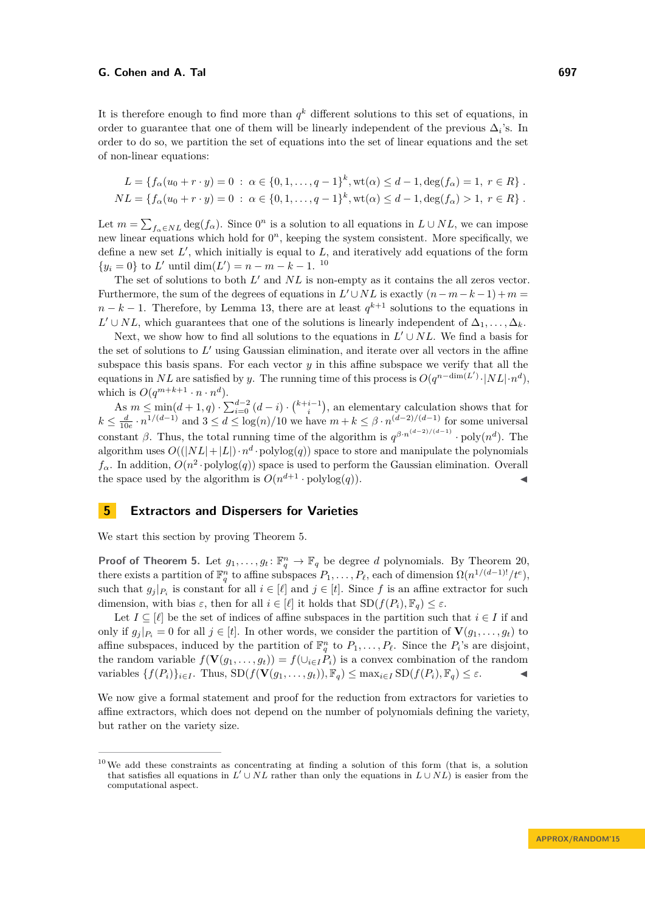It is therefore enough to find more than  $q^k$  different solutions to this set of equations, in order to guarantee that one of them will be linearly independent of the previous  $\Delta_i$ 's. In order to do so, we partition the set of equations into the set of linear equations and the set of non-linear equations:

$$
L = \{ f_{\alpha}(u_0 + r \cdot y) = 0 \; : \; \alpha \in \{0, 1, \dots, q - 1\}^k, \text{wt}(\alpha) \leq d - 1, \deg(f_{\alpha}) = 1, \; r \in R \} .
$$
  

$$
NL = \{ f_{\alpha}(u_0 + r \cdot y) = 0 \; : \; \alpha \in \{0, 1, \dots, q - 1\}^k, \text{wt}(\alpha) \leq d - 1, \deg(f_{\alpha}) > 1, \; r \in R \} .
$$

Let  $m = \sum_{f_\alpha \in NL} \deg(f_\alpha)$ . Since  $0^n$  is a solution to all equations in  $L \cup NL$ , we can impose new linear equations which hold for  $0<sup>n</sup>$ , keeping the system consistent. More specifically, we define a new set  $L'$ , which initially is equal to  $L$ , and iteratively add equations of the form  $\{y_i = 0\}$  to *L'* until dim(*L'*) = *n* − *m* − *k* − 1.<sup>[10](#page-17-0)</sup>

The set of solutions to both  $L'$  and  $NL$  is non-empty as it contains the all zeros vector. Furthermore, the sum of the degrees of equations in  $L' \cup NL$  is exactly  $(n - m - k - 1) + m =$  $n - k - 1$ . Therefore, by Lemma [13,](#page-10-0) there are at least  $q^{k+1}$  solutions to the equations in *L*<sup> $\prime$ </sup> ∪ *NL*, which guarantees that one of the solutions is linearly independent of  $\Delta_1, \ldots, \Delta_k$ .

Next, we show how to find all solutions to the equations in  $L' \cup NL$ . We find a basis for the set of solutions to  $L'$  using Gaussian elimination, and iterate over all vectors in the affine subspace this basis spans. For each vector *y* in this affine subspace we verify that all the equations in *NL* are satisfied by *y*. The running time of this process is  $O(q^{n-\dim(L')}\cdot|NL|\cdot n^d)$ , which is  $O(q^{m+k+1} \cdot n \cdot n^d)$ .

As  $m \le \min(d+1, q) \cdot \sum_{i=0}^{d-2} (d-i) \cdot {k+i-1 \choose i}$ , an elementary calculation shows that for  $k \leq \frac{d}{10e} \cdot n^{1/(d-1)}$  and  $3 \leq d \leq \log(n)/10$  we have  $m + k \leq \beta \cdot n^{(d-2)/(d-1)}$  for some universal constant  $\beta$ . Thus, the total running time of the algorithm is  $q^{\beta \cdot n^{(d-2)/(d-1)}} \cdot \text{poly}(n^d)$ . The algorithm uses  $O((|NL|+|L|)\cdot n^d \cdot \text{polylog}(q))$  space to store and manipulate the polynomials  $f_{\alpha}$ . In addition,  $O(n^2 \cdot \text{polylog}(q))$  space is used to perform the Gaussian elimination. Overall the space used by the algorithm is  $O(n^{d+1} \cdot \text{polylog}(q))$ .

## **5 Extractors and Dispersers for Varieties**

We start this section by proving Theorem [5.](#page-4-0)

**Proof of Theorem [5.](#page-4-0)** Let  $g_1, \ldots, g_t: \mathbb{F}_q^n \to \mathbb{F}_q$  be degree *d* polynomials. By Theorem [20,](#page-15-0) there exists a partition of  $\mathbb{F}_q^n$  to affine subspaces  $P_1, \ldots, P_\ell$ , each of dimension  $\Omega(n^{1/(d-1)!}/t^e)$ , such that  $g_j|_{P_i}$  is constant for all  $i \in [\ell]$  and  $j \in [t]$ . Since f is an affine extractor for such dimension, with bias  $\varepsilon$ , then for all  $i \in [\ell]$  it holds that  $SD(f(P_i), \mathbb{F}_q) \leq \varepsilon$ .

Let  $I \subseteq [\ell]$  be the set of indices of affine subspaces in the partition such that  $i \in I$  if and only if  $g_j|_{P_i} = 0$  for all  $j \in [t]$ . In other words, we consider the partition of  $\mathbf{V}(g_1, \ldots, g_t)$  to affine subspaces, induced by the partition of  $\mathbb{F}_q^n$  to  $P_1, \ldots, P_\ell$ . Since the  $P_i$ 's are disjoint, the random variable  $f(\mathbf{V}(g_1, \ldots, g_t)) = f(\bigcup_{i \in I} P_i)$  is a convex combination of the random variables  $\{f(P_i)\}_{i\in I}$ . Thus,  $\text{SD}(f(\mathbf{V}(g_1,\ldots,g_t)), \mathbb{F}_q) \leq \max_{i\in I} \text{SD}(f(P_i), \mathbb{F}_q) \leq \varepsilon$ .

We now give a formal statement and proof for the reduction from extractors for varieties to affine extractors, which does not depend on the number of polynomials defining the variety, but rather on the variety size.

<span id="page-17-0"></span><sup>10</sup>We add these constraints as concentrating at finding a solution of this form (that is, a solution that satisfies all equations in  $L' \cup NL$  rather than only the equations in  $L \cup NL$  is easier from the computational aspect.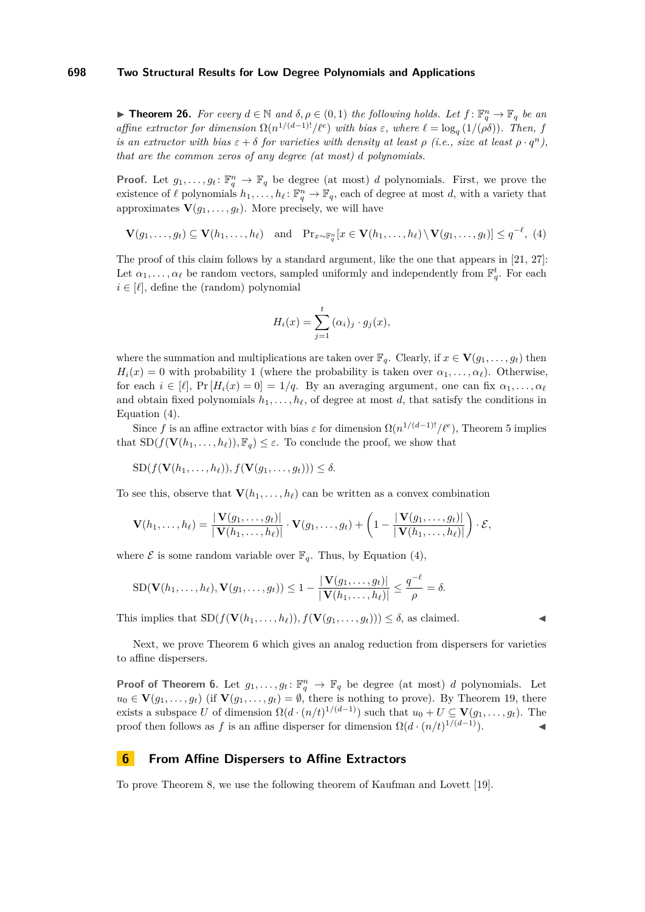<span id="page-18-0"></span>**► Theorem 26.** For every  $d \in \mathbb{N}$  and  $\delta, \rho \in (0, 1)$  the following holds. Let  $f: \mathbb{F}_q^n \to \mathbb{F}_q$  be an *affine extractor for dimension*  $\Omega(n^{1/(d-1)}/\ell^e)$  *with bias*  $\varepsilon$ *, where*  $\ell = \log_q(1/(\rho\delta))$ *. Then, f is an extractor with bias*  $\varepsilon + \delta$  *for varieties with density at least*  $\rho$  *(i.e., size at least*  $\rho \cdot q^n$ *), that are the common zeros of any degree (at most) d polynomials.*

**Proof.** Let  $g_1, \ldots, g_t: \mathbb{F}_q^n \to \mathbb{F}_q$  be degree (at most) *d* polynomials. First, we prove the existence of  $\ell$  polynomials  $h_1, \ldots, h_\ell \colon \mathbb{F}_q^n \to \mathbb{F}_q$ , each of degree at most *d*, with a variety that approximates  $\mathbf{V}(g_1, \ldots, g_t)$ . More precisely, we will have

$$
\mathbf{V}(g_1,\ldots,g_t) \subseteq \mathbf{V}(h_1,\ldots,h_\ell) \quad \text{and} \quad \Pr_{x\sim \mathbb{F}_q^n}[x \in \mathbf{V}(h_1,\ldots,h_\ell) \setminus \mathbf{V}(g_1,\ldots,g_t)] \leq q^{-\ell}, \tag{4}
$$

The proof of this claim follows by a standard argument, like the one that appears in [\[21,](#page-22-18) [27\]](#page-23-14): Let  $\alpha_1, \ldots, \alpha_\ell$  be random vectors, sampled uniformly and independently from  $\mathbb{F}_q^t$ . For each  $i \in [\ell]$ , define the (random) polynomial

<span id="page-18-2"></span>
$$
H_i(x) = \sum_{j=1}^t (\alpha_i)_j \cdot g_j(x),
$$

where the summation and multiplications are taken over  $\mathbb{F}_q$ . Clearly, if  $x \in \mathbf{V}(g_1, \ldots, g_t)$  then  $H_i(x) = 0$  with probability 1 (where the probability is taken over  $\alpha_1, \ldots, \alpha_\ell$ ). Otherwise, for each  $i \in [\ell], \Pr[H_i(x) = 0] = 1/q$ . By an averaging argument, one can fix  $\alpha_1, \ldots, \alpha_\ell$ and obtain fixed polynomials  $h_1, \ldots, h_\ell$ , of degree at most *d*, that satisfy the conditions in Equation [\(4\)](#page-18-2).

Since f is an affine extractor with bias  $\varepsilon$  for dimension  $\Omega(n^{1/(d-1)}/\ell^e)$ , Theorem [5](#page-4-0) implies that  $SD(f(\mathbf{V}(h_1, \ldots, h_\ell)), \mathbb{F}_q) \leq \varepsilon$ . To conclude the proof, we show that

$$
SD(f(\mathbf{V}(h_1,\ldots,h_\ell)),f(\mathbf{V}(g_1,\ldots,g_t))) \leq \delta.
$$

To see this, observe that  $\mathbf{V}(h_1, \ldots, h_\ell)$  can be written as a convex combination

$$
\mathbf{V}(h_1,\ldots,h_\ell)=\frac{|\mathbf{V}(g_1,\ldots,g_t)|}{|\mathbf{V}(h_1,\ldots,h_\ell)|}\cdot\mathbf{V}(g_1,\ldots,g_t)+\left(1-\frac{|\mathbf{V}(g_1,\ldots,g_t)|}{|\mathbf{V}(h_1,\ldots,h_\ell)|}\right)\cdot\mathcal{E},
$$

where  $\mathcal E$  is some random variable over  $\mathbb F_q$ . Thus, by Equation [\(4\)](#page-18-2),

$$
\text{SD}(\mathbf{V}(h_1,\ldots,h_\ell),\mathbf{V}(g_1,\ldots,g_t))\leq 1-\frac{|\mathbf{V}(g_1,\ldots,g_t)|}{|\mathbf{V}(h_1,\ldots,h_\ell)|}\leq \frac{q^{-\ell}}{\rho}=\delta.
$$

This implies that  $SD(f(\mathbf{V}(h_1, \ldots, h_\ell)), f(\mathbf{V}(g_1, \ldots, g_t))) \leq \delta$ , as claimed.

Next, we prove Theorem [6](#page-5-0) which gives an analog reduction from dispersers for varieties to affine dispersers.

**Proof of Theorem [6.](#page-5-0)** Let  $g_1, \ldots, g_t: \mathbb{F}_q^n \to \mathbb{F}_q$  be degree (at most) *d* polynomials. Let  $u_0 \in \mathbf{V}(g_1, \ldots, g_t)$  (if  $\mathbf{V}(g_1, \ldots, g_t) = \emptyset$ , there is nothing to prove). By Theorem [19,](#page-14-2) there exists a subspace *U* of dimension  $\Omega(d \cdot (n/t)^{1/(d-1)})$  such that  $u_0 + U \subseteq V(g_1, \ldots, g_t)$ . The proof then follows as *f* is an affine disperser for dimension  $\Omega(d \cdot (n/t)^{1/(d-1)})$ .

## <span id="page-18-1"></span>**6 From Affine Dispersers to Affine Extractors**

To prove Theorem [8,](#page-5-2) we use the following theorem of Kaufman and Lovett [\[19\]](#page-22-2).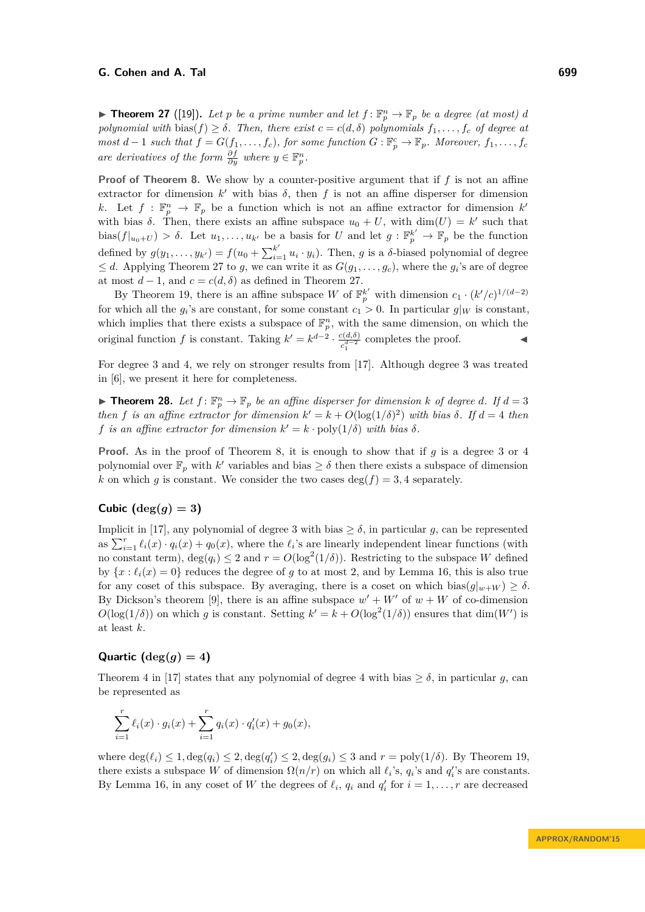<span id="page-19-1"></span>**Find 17** ([\[19\]](#page-22-2)). Let p be a prime number and let  $f: \mathbb{F}_p^n \to \mathbb{F}_p$  be a degree (at most) d *polynomial with* bias( $f$ )  $\geq \delta$ *. Then, there exist*  $c = c(d, \delta)$  *polynomials*  $f_1, \ldots, f_c$  *of degree at most*  $d-1$  *such that*  $f = G(f_1, \ldots, f_c)$ *, for some function*  $G : \mathbb{F}_p^c \to \mathbb{F}_p$ *. Moreover,*  $f_1, \ldots, f_c$ *are derivatives of the form*  $\frac{\partial f}{\partial y}$  *where*  $y \in \mathbb{F}_p^n$ *.* 

**Proof of Theorem [8.](#page-5-2)** We show by a counter-positive argument that if *f* is not an affine extractor for dimension  $k'$  with bias  $\delta$ , then  $f$  is not an affine disperser for dimension *k*. Let  $f : \mathbb{F}_p^n \to \mathbb{F}_p$  be a function which is not an affine extractor for dimension  $k'$ with bias  $\delta$ . Then, there exists an affine subspace  $u_0 + U$ , with  $\dim(U) = k'$  such that  $\text{bias}(f|_{u_0+U}) > \delta$ . Let  $u_1, \ldots, u_{k'}$  be a basis for *U* and let  $g: \mathbb{F}_p^{k'} \to \mathbb{F}_p$  be the function defined by  $g(y_1, \ldots, y_{k'}) = f(u_0 + \sum_{i=1}^{k'} u_i \cdot y_i)$ . Then, *g* is a *δ*-biased polynomial of degree  $\leq d$ . Applying Theorem [27](#page-19-1) to g, we can write it as  $G(g_1, \ldots, g_c)$ , where the  $g_i$ 's are of degree at most  $d-1$ , and  $c = c(d, \delta)$  as defined in Theorem [27.](#page-19-1)

By Theorem [19,](#page-14-2) there is an affine subspace *W* of  $\mathbb{F}_p^{k'}$  with dimension  $c_1 \cdot (k'/c)^{1/(d-2)}$ for which all the  $g_i$ 's are constant, for some constant  $c_1 > 0$ . In particular  $g|_W$  is constant, which implies that there exists a subspace of  $\mathbb{F}_p^n$ , with the same dimension, on which the original function *f* is constant. Taking  $k' = k^{d-2} \cdot \frac{c(d,\delta)}{d-2}$  $c_1^{(d,\delta)}$  completes the proof.  $\triangleleft$ 

For degree 3 and 4, we rely on stronger results from [\[17\]](#page-22-3). Although degree 3 was treated in [\[6\]](#page-22-1), we present it here for completeness.

<span id="page-19-0"></span>**Findmark 10. 1** *Para 18. Let*  $f: \mathbb{F}_p^n \to \mathbb{F}_p$  *be an affine disperser for dimension k of degree d. If*  $d = 3$ *then f is an affine extractor for dimension*  $k' = k + O(\log(1/\delta)^2)$  *with bias*  $\delta$ *. If*  $d = 4$  *then f is an affine extractor for dimension*  $k' = k \cdot \text{poly}(1/\delta)$  *with bias*  $\delta$ *.* 

**Proof.** As in the proof of Theorem [8,](#page-5-2) it is enough to show that if *g* is a degree 3 or 4 polynomial over  $\mathbb{F}_p$  with *k*' variables and bias  $\geq \delta$  then there exists a subspace of dimension *k* on which *g* is constant. We consider the two cases  $\deg(f) = 3, 4$  separately.

## **Cubic**  $(\deg(g) = 3)$

Implicit in [\[17\]](#page-22-3), any polynomial of degree 3 with bias  $\geq \delta$ , in particular *g*, can be represented as  $\sum_{i=1}^{r} \ell_i(x) \cdot q_i(x) + q_0(x)$ , where the  $\ell_i$ 's are linearly independent linear functions (with no constant term),  $\deg(q_i) \leq 2$  and  $r = O(\log^2(1/\delta))$ . Restricting to the subspace *W* defined by  $\{x : \ell_i(x) = 0\}$  reduces the degree of *g* to at most 2, and by Lemma [16,](#page-13-0) this is also true for any coset of this subspace. By averaging, there is a coset on which bias $(g|_{w+W}) \ge \delta$ . By Dickson's theorem [\[9\]](#page-22-4), there is an affine subspace  $w' + W'$  of  $w + W$  of co-dimension  $O(\log(1/\delta))$  on which *g* is constant. Setting  $k' = k + O(\log^2(1/\delta))$  ensures that dim(*W'*) is at least *k*.

## **Quartic**  $(\deg(q) = 4)$

Theorem 4 in [\[17\]](#page-22-3) states that any polynomial of degree 4 with bias  $\geq \delta$ , in particular *g*, can be represented as

$$
\sum_{i=1}^r \ell_i(x) \cdot g_i(x) + \sum_{i=1}^r q_i(x) \cdot q'_i(x) + g_0(x),
$$

where  $\deg(\ell_i) \leq 1, \deg(q_i) \leq 2, \deg(q'_i) \leq 2, \deg(g_i) \leq 3$  and  $r = \text{poly}(1/\delta)$ . By Theorem [19,](#page-14-2) there exists a subspace *W* of dimension  $\Omega(n/r)$  on which all  $\ell_i$ 's,  $q_i$ 's and  $q_i'$ 's are constants. By Lemma [16,](#page-13-0) in any coset of *W* the degrees of  $\ell_i$ ,  $q_i$  and  $q'_i$  for  $i = 1, ..., r$  are decreased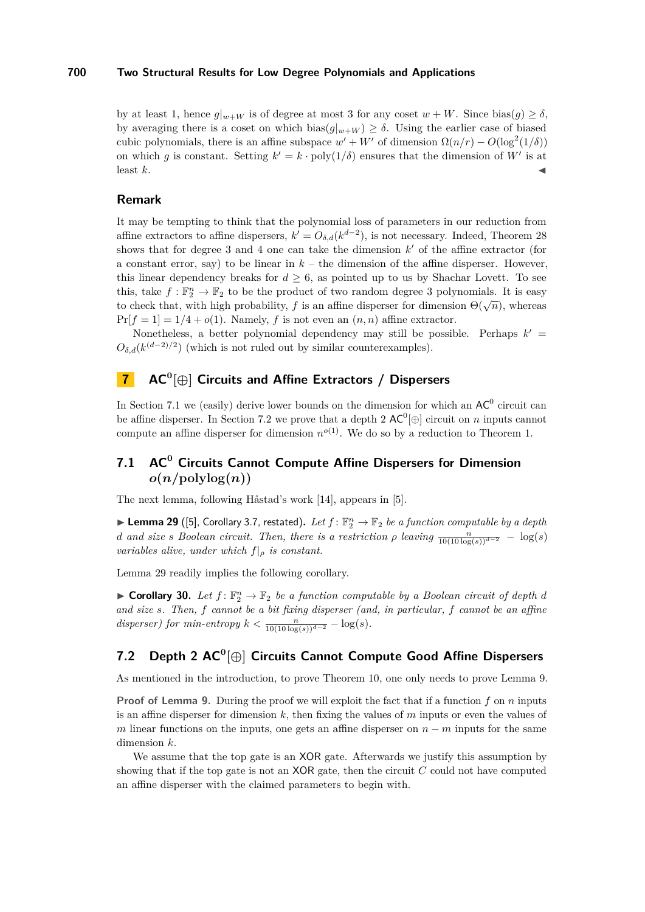by at least 1, hence  $g|_{w+W}$  is of degree at most 3 for any coset  $w+W$ . Since bias $(q) \geq \delta$ , by averaging there is a coset on which  $\text{bias}(g|_{w+W}) \geq \delta$ . Using the earlier case of biased cubic polynomials, there is an affine subspace  $w' + W'$  of dimension  $\Omega(n/r) - O(\log^2(1/\delta))$ on which *g* is constant. Setting  $k' = k \cdot \text{poly}(1/\delta)$  ensures that the dimension of W' is at least  $k$ .

### **Remark**

It may be tempting to think that the polynomial loss of parameters in our reduction from affine extractors to affine dispersers,  $k' = O_{\delta,d}(k^{d-2})$ , is not necessary. Indeed, Theorem [28](#page-19-0) shows that for degree  $3$  and  $4$  one can take the dimension  $k'$  of the affine extractor (for a constant error, say) to be linear in  $k$  – the dimension of the affine disperser. However, this linear dependency breaks for  $d \geq 6$ , as pointed up to us by Shachar Lovett. To see this, take  $f: \mathbb{F}_2^n \to \mathbb{F}_2$  to be the product of two random degree 3 polynomials. It is easy to check that, with high probability, *f* is an affine disperser for dimension  $\Theta(\sqrt{n})$ , whereas  $Pr[f = 1] = 1/4 + o(1)$ . Namely, *f* is not even an  $(n, n)$  affine extractor.

Nonetheless, a better polynomial dependency may still be possible. Perhaps  $k' =$  $O_{\delta,d}(k^{(d-2)/2})$  (which is not ruled out by similar counterexamples).

## **7 AC<sup>0</sup> [⊕] Circuits and Affine Extractors / Dispersers**

In Section [7.1](#page-20-1) we (easily) derive lower bounds on the dimension for which an  $AC^0$  circuit can be affine disperser. In Section [7.2](#page-20-2) we prove that a depth  $2 \text{ AC}^0[\oplus]$  circuit on *n* inputs cannot compute an affine disperser for dimension  $n^{o(1)}$ . We do so by a reduction to Theorem [1.](#page-1-0)

## <span id="page-20-1"></span>**7.1 AC<sup>0</sup> Circuits Cannot Compute Affine Dispersers for Dimension**  $o(n/\text{polylog}(n))$

The next lemma, following Håstad's work [\[14\]](#page-22-14), appears in [\[5\]](#page-22-19).

<span id="page-20-3"></span> $\blacktriangleright$  Lemma 29 ([\[5\]](#page-22-19), Corollary 3.7, restated). Let  $f: \mathbb{F}_2^n \to \mathbb{F}_2$  *be a function computable by a depth d* and size *s Boolean circuit. Then, there is a restriction*  $\rho$  *leaving*  $\frac{n}{10(10 \log(s))^{d-2}} - \log(s)$ *variables alive, under which f*|*<sup>ρ</sup> is constant.*

Lemma [29](#page-20-3) readily implies the following corollary.

<span id="page-20-0"></span>▶ Corollary 30. Let  $f: \mathbb{F}_2^n \to \mathbb{F}_2$  be a function computable by a Boolean circuit of depth *d and size s. Then, f cannot be a bit fixing disperser (and, in particular, f cannot be an affine*  $disperser)$  *for min-entropy*  $k < \frac{n}{10(10 \log(s))^{d-2}} - \log(s)$ .

## <span id="page-20-2"></span>**7.2 Depth 2 AC<sup>0</sup> [⊕] Circuits Cannot Compute Good Affine Dispersers**

As mentioned in the introduction, to prove Theorem [10,](#page-7-3) one only needs to prove Lemma [9.](#page-6-1)

**Proof of Lemma [9.](#page-6-1)** During the proof we will exploit the fact that if a function *f* on *n* inputs is an affine disperser for dimension *k*, then fixing the values of *m* inputs or even the values of *m* linear functions on the inputs, one gets an affine disperser on  $n - m$  inputs for the same dimension *k*.

We assume that the top gate is an XOR gate. Afterwards we justify this assumption by showing that if the top gate is not an XOR gate, then the circuit *C* could not have computed an affine disperser with the claimed parameters to begin with.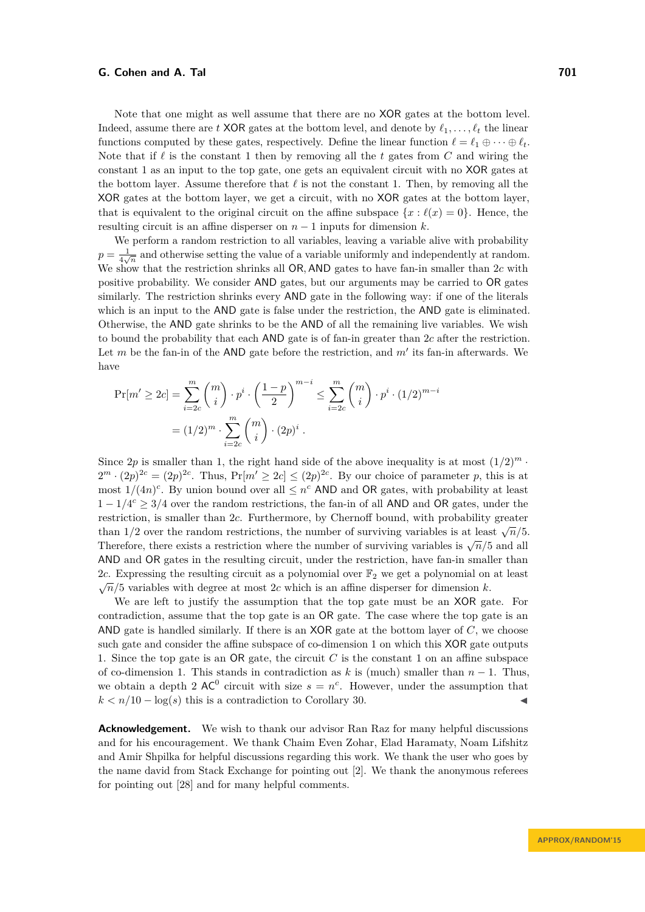Note that one might as well assume that there are no XOR gates at the bottom level. Indeed, assume there are *t* XOR gates at the bottom level, and denote by  $\ell_1, \ldots, \ell_t$  the linear functions computed by these gates, respectively. Define the linear function  $\ell = \ell_1 \oplus \cdots \oplus \ell_t$ . Note that if  $\ell$  is the constant 1 then by removing all the *t* gates from C and wiring the constant 1 as an input to the top gate, one gets an equivalent circuit with no XOR gates at the bottom layer. Assume therefore that  $\ell$  is not the constant 1. Then, by removing all the XOR gates at the bottom layer, we get a circuit, with no XOR gates at the bottom layer, that is equivalent to the original circuit on the affine subspace  $\{x : \ell(x) = 0\}$ . Hence, the resulting circuit is an affine disperser on *n* − 1 inputs for dimension *k*.

We perform a random restriction to all variables, leaving a variable alive with probability  $p = \frac{1}{4\sqrt{n}}$  and otherwise setting the value of a variable uniformly and independently at random. We show that the restriction shrinks all OR*,* AND gates to have fan-in smaller than 2*c* with positive probability. We consider AND gates, but our arguments may be carried to OR gates similarly. The restriction shrinks every AND gate in the following way: if one of the literals which is an input to the AND gate is false under the restriction, the AND gate is eliminated. Otherwise, the AND gate shrinks to be the AND of all the remaining live variables. We wish to bound the probability that each AND gate is of fan-in greater than 2*c* after the restriction. Let  $m$  be the fan-in of the AND gate before the restriction, and  $m'$  its fan-in afterwards. We have

$$
\Pr[m' \ge 2c] = \sum_{i=2c}^{m} {m \choose i} \cdot p^i \cdot \left(\frac{1-p}{2}\right)^{m-i} \le \sum_{i=2c}^{m} {m \choose i} \cdot p^i \cdot (1/2)^{m-i}
$$

$$
= (1/2)^m \cdot \sum_{i=2c}^{m} {m \choose i} \cdot (2p)^i.
$$

Since 2p is smaller than 1, the right hand side of the above inequality is at most  $(1/2)^m$ .  $2^m \cdot (2p)^{2c} = (2p)^{2c}$ . Thus,  $Pr[m' \ge 2c] \le (2p)^{2c}$ . By our choice of parameter *p*, this is at most  $1/(4n)^c$ . By union bound over all  $\leq n^c$  AND and OR gates, with probability at least  $1 - 1/4^c \geq 3/4$  over the random restrictions, the fan-in of all AND and OR gates, under the restriction, is smaller than 2*c*. Furthermore, by Chernoff bound, with probability greater than  $1/2$  over the random restrictions, the number of surviving variables is at least  $\sqrt{n}/5$ . Therefore, there exists a restriction where the number of surviving variables is  $\sqrt{n/5}$  and all Therefore, there exists a restriction where the number of surviving variables is  $\sqrt{n/5}$  and all AND and OR gates in the resulting circuit, under the restriction, have fan-in smaller than 2*c*. Expressing the resulting circuit as a polynomial over  $\mathbb{F}_2$  we get a polynomial on at least  $\sqrt{n}/5$  variables with degree at most 2*c* which is an affine disperser for dimension *k*.

We are left to justify the assumption that the top gate must be an XOR gate. For contradiction, assume that the top gate is an OR gate. The case where the top gate is an AND gate is handled similarly. If there is an XOR gate at the bottom layer of *C*, we choose such gate and consider the affine subspace of co-dimension 1 on which this XOR gate outputs 1. Since the top gate is an OR gate, the circuit *C* is the constant 1 on an affine subspace of co-dimension 1. This stands in contradiction as *k* is (much) smaller than *n* − 1. Thus, we obtain a depth 2  $AC^0$  circuit with size  $s = n^c$ . However, under the assumption that  $k < n/10 - \log(s)$  this is a contradiction to Corollary [30.](#page-20-0)

**Acknowledgement.** We wish to thank our advisor Ran Raz for many helpful discussions and for his encouragement. We thank Chaim Even Zohar, Elad Haramaty, Noam Lifshitz and Amir Shpilka for helpful discussions regarding this work. We thank the user who goes by the name david from Stack Exchange for pointing out [\[2\]](#page-22-5). We thank the anonymous referees for pointing out [\[28\]](#page-23-1) and for many helpful comments.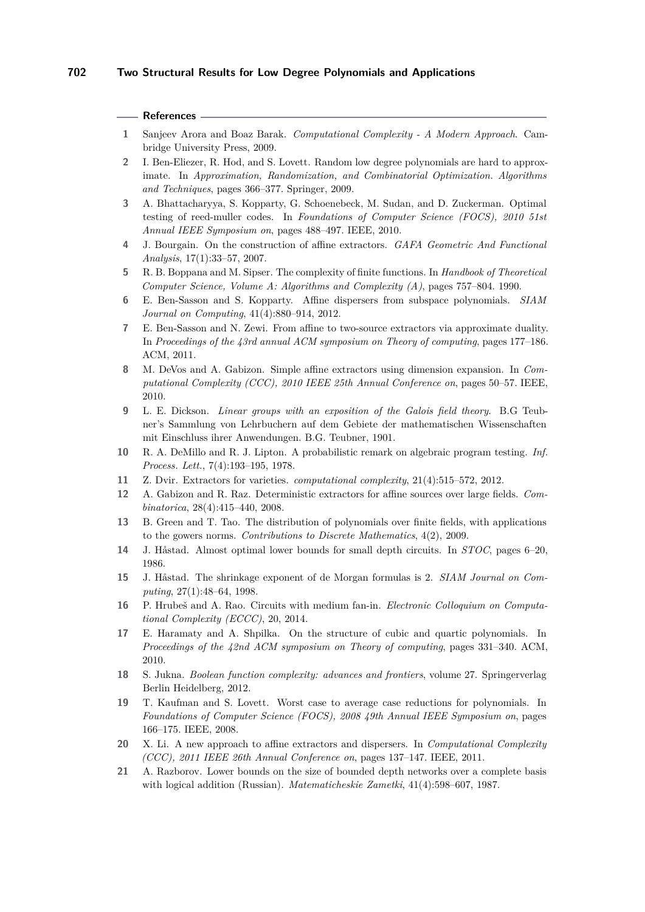#### **References**

- <span id="page-22-20"></span>**1** Sanjeev Arora and Boaz Barak. *Computational Complexity - A Modern Approach*. Cambridge University Press, 2009.
- <span id="page-22-5"></span>**2** I. Ben-Eliezer, R. Hod, and S. Lovett. Random low degree polynomials are hard to approximate. In *Approximation, Randomization, and Combinatorial Optimization. Algorithms and Techniques*, pages 366–377. Springer, 2009.
- <span id="page-22-10"></span>**3** A. Bhattacharyya, S. Kopparty, G. Schoenebeck, M. Sudan, and D. Zuckerman. Optimal testing of reed-muller codes. In *Foundations of Computer Science (FOCS), 2010 51st Annual IEEE Symposium on*, pages 488–497. IEEE, 2010.
- <span id="page-22-8"></span>**4** J. Bourgain. On the construction of affine extractors. *GAFA Geometric And Functional Analysis*, 17(1):33–57, 2007.
- <span id="page-22-19"></span>**5** R. B. Boppana and M. Sipser. The complexity of finite functions. In *Handbook of Theoretical Computer Science, Volume A: Algorithms and Complexity (A)*, pages 757–804. 1990.
- <span id="page-22-1"></span>**6** E. Ben-Sasson and S. Kopparty. Affine dispersers from subspace polynomials. *SIAM Journal on Computing*, 41(4):880–914, 2012.
- <span id="page-22-12"></span>**7** E. Ben-Sasson and N. Zewi. From affine to two-source extractors via approximate duality. In *Proceedings of the 43rd annual ACM symposium on Theory of computing*, pages 177–186. ACM, 2011.
- <span id="page-22-7"></span>**8** M. DeVos and A. Gabizon. Simple affine extractors using dimension expansion. In *Computational Complexity (CCC), 2010 IEEE 25th Annual Conference on*, pages 50–57. IEEE, 2010.
- <span id="page-22-4"></span>**9** L. E. Dickson. *Linear groups with an exposition of the Galois field theory*. B.G Teubner's Sammlung von Lehrbuchern auf dem Gebiete der mathematischen Wissenschaften mit Einschluss ihrer Anwendungen. B.G. Teubner, 1901.
- <span id="page-22-17"></span>**10** R. A. DeMillo and R. J. Lipton. A probabilistic remark on algebraic program testing. *Inf. Process. Lett.*, 7(4):193–195, 1978.
- <span id="page-22-0"></span>**11** Z. Dvir. Extractors for varieties. *computational complexity*, 21(4):515–572, 2012.
- <span id="page-22-6"></span>**12** A. Gabizon and R. Raz. Deterministic extractors for affine sources over large fields. *Combinatorica*, 28(4):415–440, 2008.
- <span id="page-22-13"></span>**13** B. Green and T. Tao. The distribution of polynomials over finite fields, with applications to the gowers norms. *Contributions to Discrete Mathematics*, 4(2), 2009.
- <span id="page-22-14"></span>**14** J. Håstad. Almost optimal lower bounds for small depth circuits. In *STOC*, pages 6–20, 1986.
- <span id="page-22-15"></span>**15** J. Håstad. The shrinkage exponent of de Morgan formulas is 2. *SIAM Journal on Computing*, 27(1):48–64, 1998.
- <span id="page-22-11"></span>**16** P. Hrubeš and A. Rao. Circuits with medium fan-in. *Electronic Colloquium on Computational Complexity (ECCC)*, 20, 2014.
- <span id="page-22-3"></span>**17** E. Haramaty and A. Shpilka. On the structure of cubic and quartic polynomials. In *Proceedings of the 42nd ACM symposium on Theory of computing*, pages 331–340. ACM, 2010.
- <span id="page-22-16"></span>**18** S. Jukna. *Boolean function complexity: advances and frontiers*, volume 27. Springerverlag Berlin Heidelberg, 2012.
- <span id="page-22-2"></span>**19** T. Kaufman and S. Lovett. Worst case to average case reductions for polynomials. In *Foundations of Computer Science (FOCS), 2008 49th Annual IEEE Symposium on*, pages 166–175. IEEE, 2008.
- <span id="page-22-9"></span>**20** X. Li. A new approach to affine extractors and dispersers. In *Computational Complexity (CCC), 2011 IEEE 26th Annual Conference on*, pages 137–147. IEEE, 2011.
- <span id="page-22-18"></span>**21** A. Razborov. Lower bounds on the size of bounded depth networks over a complete basis with logical addition (Russian). *Matematicheskie Zametki*, 41(4):598–607, 1987.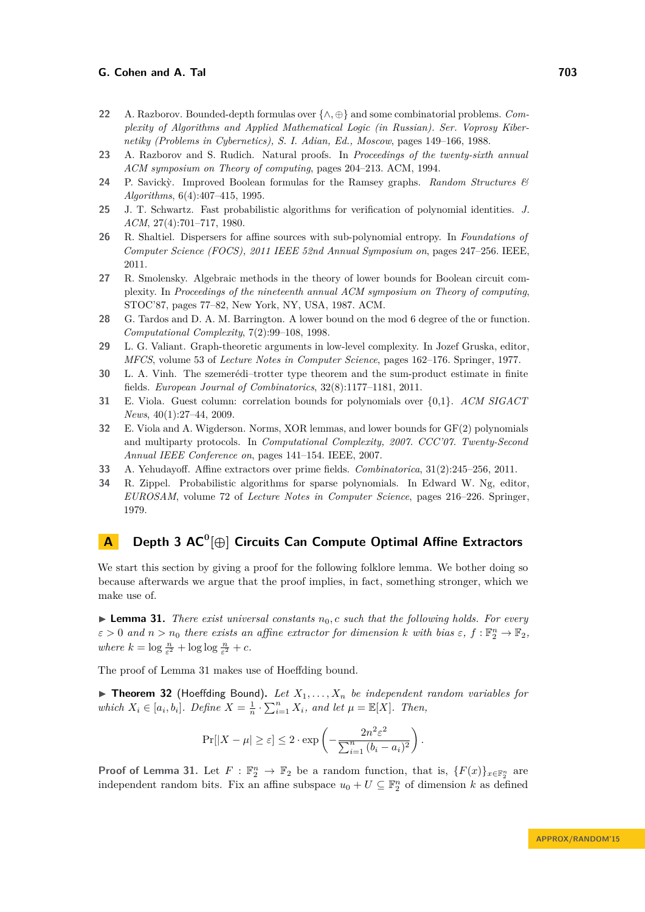- <span id="page-23-7"></span>**22** A. Razborov. Bounded-depth formulas over {∧*,* ⊕} and some combinatorial problems. *Complexity of Algorithms and Applied Mathematical Logic (in Russian). Ser. Voprosy Kibernetiky (Problems in Cybernetics), S. I. Adian, Ed., Moscow*, pages 149–166, 1988.
- <span id="page-23-10"></span>**23** A. Razborov and S. Rudich. Natural proofs. In *Proceedings of the twenty-sixth annual ACM symposium on Theory of computing*, pages 204–213. ACM, 1994.
- <span id="page-23-8"></span>**24** P. Savick`y. Improved Boolean formulas for the Ramsey graphs. *Random Structures & Algorithms*, 6(4):407–415, 1995.
- <span id="page-23-12"></span>**25** J. T. Schwartz. Fast probabilistic algorithms for verification of polynomial identities. *J. ACM*, 27(4):701–717, 1980.
- <span id="page-23-0"></span>**26** R. Shaltiel. Dispersers for affine sources with sub-polynomial entropy. In *Foundations of Computer Science (FOCS), 2011 IEEE 52nd Annual Symposium on*, pages 247–256. IEEE, 2011.
- <span id="page-23-14"></span>**27** R. Smolensky. Algebraic methods in the theory of lower bounds for Boolean circuit complexity. In *Proceedings of the nineteenth annual ACM symposium on Theory of computing*, STOC'87, pages 77–82, New York, NY, USA, 1987. ACM.
- <span id="page-23-1"></span>**28** G. Tardos and D. A. M. Barrington. A lower bound on the mod 6 degree of the or function. *Computational Complexity*, 7(2):99–108, 1998.
- <span id="page-23-5"></span>**29** L. G. Valiant. Graph-theoretic arguments in low-level complexity. In Jozef Gruska, editor, *MFCS*, volume 53 of *Lecture Notes in Computer Science*, pages 162–176. Springer, 1977.
- <span id="page-23-3"></span>**30** L. A. Vinh. The szemerédi–trotter type theorem and the sum-product estimate in finite fields. *European Journal of Combinatorics*, 32(8):1177–1181, 2011.
- <span id="page-23-11"></span>**31** E. Viola. Guest column: correlation bounds for polynomials over {0,1}. *ACM SIGACT News*, 40(1):27–44, 2009.
- <span id="page-23-4"></span>**32** E. Viola and A. Wigderson. Norms, XOR lemmas, and lower bounds for GF(2) polynomials and multiparty protocols. In *Computational Complexity, 2007. CCC'07. Twenty-Second Annual IEEE Conference on*, pages 141–154. IEEE, 2007.
- <span id="page-23-2"></span>**33** A. Yehudayoff. Affine extractors over prime fields. *Combinatorica*, 31(2):245–256, 2011.
- <span id="page-23-13"></span>**34** R. Zippel. Probabilistic algorithms for sparse polynomials. In Edward W. Ng, editor, *EUROSAM*, volume 72 of *Lecture Notes in Computer Science*, pages 216–226. Springer, 1979.

## <span id="page-23-9"></span>**A Depth 3 AC<sup>0</sup> [⊕] Circuits Can Compute Optimal Affine Extractors**

We start this section by giving a proof for the following folklore lemma. We bother doing so because afterwards we argue that the proof implies, in fact, something stronger, which we make use of.

<span id="page-23-6"></span>► **Lemma 31.** *There exist universal constants*  $n_0$ , *c such that the following holds. For every*  $\epsilon > 0$  and  $n > n_0$  there exists an affine extractor for dimension  $k$  with bias  $\varepsilon, f: \mathbb{F}_2^n \to \mathbb{F}_2$ , *where*  $k = \log \frac{n}{\varepsilon^2} + \log \log \frac{n}{\varepsilon^2} + c$ .

The proof of Lemma [31](#page-23-6) makes use of Hoeffding bound.

<span id="page-23-15"></span> $\triangleright$  **Theorem 32** (Hoeffding Bound). Let  $X_1, \ldots, X_n$  be independent random variables for *which*  $X_i \in [a_i, b_i]$ *. Define*  $X = \frac{1}{n} \cdot \sum_{i=1}^n X_i$ *, and let*  $\mu = \mathbb{E}[X]$ *. Then,* 

$$
\Pr[|X - \mu| \ge \varepsilon] \le 2 \cdot \exp\left(-\frac{2n^2 \varepsilon^2}{\sum_{i=1}^n (b_i - a_i)^2}\right).
$$

**Proof of Lemma [31.](#page-23-6)** Let  $F : \mathbb{F}_2^n \to \mathbb{F}_2$  be a random function, that is,  $\{F(x)\}_{x \in \mathbb{F}_2^n}$  are independent random bits. Fix an affine subspace  $u_0 + U \subseteq \mathbb{F}_2^n$  of dimension k as defined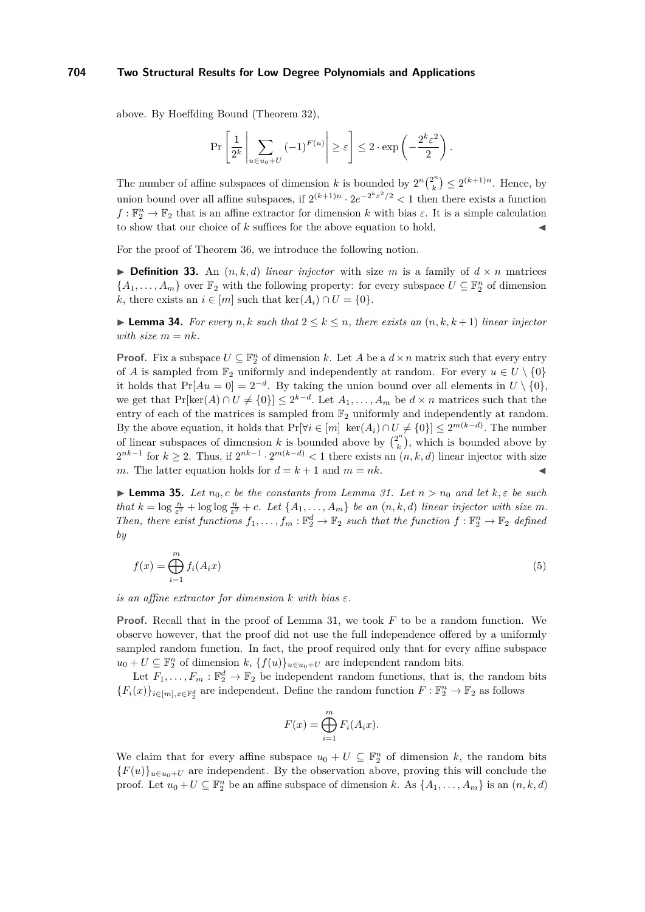above. By Hoeffding Bound (Theorem [32\)](#page-23-15),

$$
\Pr\left[\frac{1}{2^k}\left|\sum_{u\in u_0+U}(-1)^{F(u)}\right|\geq \varepsilon\right]\leq 2\cdot \exp\left(-\frac{2^k\varepsilon^2}{2}\right).
$$

The number of affine subspaces of dimension *k* is bounded by  $2^n \binom{2^n}{k}$  $\binom{2^n}{k} \leq 2^{(k+1)n}$ . Hence, by union bound over all affine subspaces, if  $2^{(k+1)n} \cdot 2e^{-2^k \varepsilon^2/2} < 1$  then there exists a function  $f: \mathbb{F}_2^n \to \mathbb{F}_2$  that is an affine extractor for dimension *k* with bias  $\varepsilon$ . It is a simple calculation to show that our choice of  $k$  suffices for the above equation to hold.

For the proof of Theorem [36,](#page-25-1) we introduce the following notion.

 $\triangleright$  **Definition 33.** An  $(n, k, d)$  *linear injector* with size *m* is a family of  $d \times n$  matrices  ${A_1, \ldots, A_m}$  over  $\mathbb{F}_2$  with the following property: for every subspace  $U \subseteq \mathbb{F}_2^n$  of dimension *k*, there exists an  $i \in [m]$  such that ker $(A_i) \cap U = \{0\}.$ 

<span id="page-24-1"></span>► **Lemma 34.** *For every*  $n, k$  *such that*  $2 \leq k \leq n$ *, there exists an*  $(n, k, k+1)$  *linear injector with size*  $m = nk$ *.* 

**Proof.** Fix a subspace  $U \subseteq \mathbb{F}_2^n$  of dimension *k*. Let *A* be a  $d \times n$  matrix such that every entry of *A* is sampled from  $\mathbb{F}_2$  uniformly and independently at random. For every  $u \in U \setminus \{0\}$ it holds that  $Pr[Au = 0] = 2^{-d}$ . By taking the union bound over all elements in  $U \setminus \{0\}$ , we get that  $Pr[\ker(A) \cap U \neq \{0\}] \leq 2^{k-d}$ . Let  $A_1, \ldots, A_m$  be  $d \times n$  matrices such that the entry of each of the matrices is sampled from  $\mathbb{F}_2$  uniformly and independently at random. By the above equation, it holds that  $Pr[\forall i \in [m] \ \ker(A_i) \cap U \neq \{0\}] \leq 2^{m(k-d)}$ . The number of linear subspaces of dimension *k* is bounded above by  $\binom{2^n}{k}$  $\binom{2^n}{k}$ , which is bounded above by  $2^{nk-1}$  for  $k \ge 2$ . Thus, if  $2^{nk-1} \cdot 2^{m(k-d)} < 1$  there exists an  $(n, k, d)$  linear injector with size *m*. The latter equation holds for  $d = k + 1$  and  $m = nk$ .

 $\blacktriangleright$  **Lemma 35.** *Let*  $n_0$ , *c be the constants from Lemma [31.](#page-23-6) Let*  $n > n_0$  *and let*  $k, \varepsilon$  *be such that*  $k = \log \frac{n}{\epsilon^2} + \log \log \frac{n}{\epsilon^2} + c$ . Let  $\{A_1, \ldots, A_m\}$  be an  $(n, k, d)$  *linear injector with size m*. *Then, there exist functions*  $f_1, \ldots, f_m : \mathbb{F}_2^d \to \mathbb{F}_2$  such that the function  $f : \mathbb{F}_2^n \to \mathbb{F}_2$  defined *by*

<span id="page-24-0"></span>
$$
f(x) = \bigoplus_{i=1}^{m} f_i(A_i x) \tag{5}
$$

*is an affine extractor for dimension*  $k$  *with bias*  $\varepsilon$ *.* 

**Proof.** Recall that in the proof of Lemma [31,](#page-23-6) we took *F* to be a random function. We observe however, that the proof did not use the full independence offered by a uniformly sampled random function. In fact, the proof required only that for every affine subspace  $u_0 + U \subseteq \mathbb{F}_2^n$  of dimension  $k$ ,  $\{f(u)\}_{u \in u_0 + U}$  are independent random bits.

Let  $F_1, \ldots, F_m : \mathbb{F}_2^d \to \mathbb{F}_2$  be independent random functions, that is, the random bits  ${F_i(x)}_{i \in [m], x \in \mathbb{F}_2^d}$  are independent. Define the random function  $F: \mathbb{F}_2^n \to \mathbb{F}_2$  as follows

$$
F(x) = \bigoplus_{i=1}^{m} F_i(A_i x).
$$

We claim that for every affine subspace  $u_0 + U \subseteq \mathbb{F}_2^n$  of dimension k, the random bits  ${F(u)}_{u \in u_0+U}$  are independent. By the observation above, proving this will conclude the proof. Let  $u_0 + U \subseteq \mathbb{F}_2^n$  be an affine subspace of dimension *k*. As  $\{A_1, \ldots, A_m\}$  is an  $(n, k, d)$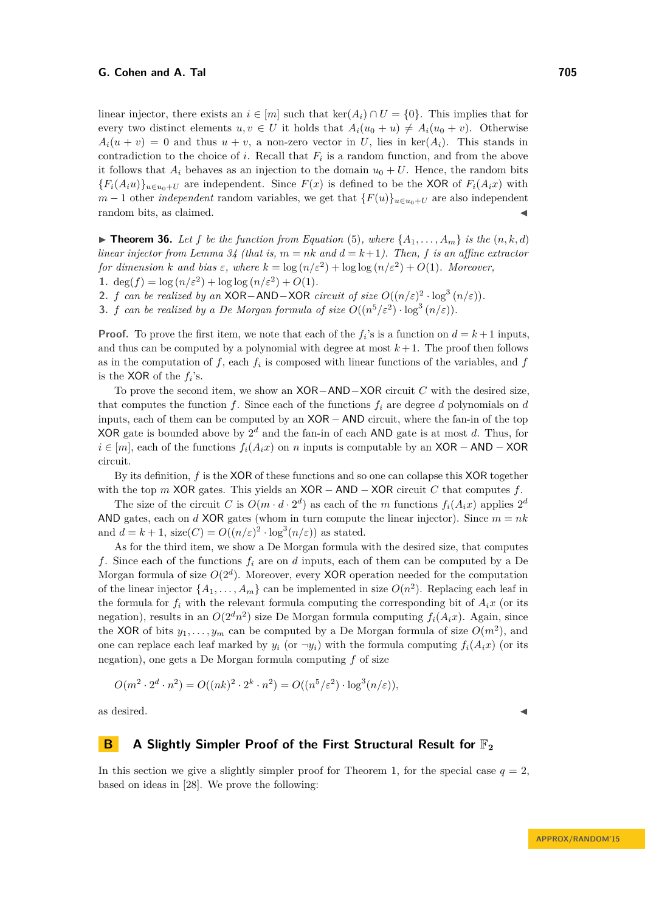linear injector, there exists an  $i \in [m]$  such that ker( $A_i$ )  $\cap U = \{0\}$ . This implies that for every two distinct elements  $u, v \in U$  it holds that  $A_i(u_0 + u) \neq A_i(u_0 + v)$ . Otherwise  $A_i(u + v) = 0$  and thus  $u + v$ , a non-zero vector in *U*, lies in ker( $A_i$ ). This stands in contradiction to the choice of  $i$ . Recall that  $F_i$  is a random function, and from the above it follows that  $A_i$  behaves as an injection to the domain  $u_0 + U$ . Hence, the random bits  ${F_i(A_iu)}_{u\in u_0+U}$  are independent. Since  $F(x)$  is defined to be the XOR of  $F_i(A_ix)$  with *m* − 1 other *independent* random variables, we get that  ${F(u)}_{u \in u_0+U}$  are also independent random bits, as claimed.

<span id="page-25-1"></span>**Findment 36.** Let f be the function from Equation [\(5\)](#page-24-0), where  $\{A_1, \ldots, A_m\}$  is the  $(n, k, d)$ *linear injector from Lemma*  $34$  (that is,  $m = nk$  and  $d = k+1$ ). Then, f is an affine extractor *for dimension k* and bias  $\varepsilon$ , where  $k = \log(n/\varepsilon^2) + \log \log(n/\varepsilon^2) + O(1)$ *. Moreover*, **1.** deg(*f*) =  $\log(n/\varepsilon^2) + \log \log(n/\varepsilon^2) + O(1)$ *.* 

**2.** *f can be realized by an* XOR−AND−XOR *circuit of size*  $O((n/\varepsilon)^2 \cdot \log^3(n/\varepsilon))$ *.* 

**3.** *f can be realized by a De Morgan formula of size*  $O((n^5/\varepsilon^2) \cdot \log^3{(n/\varepsilon)})$ .

**Proof.** To prove the first item, we note that each of the  $f_i$ 's is a function on  $d = k + 1$  inputs, and thus can be computed by a polynomial with degree at most  $k+1$ . The proof then follows as in the computation of  $f$ , each  $f_i$  is composed with linear functions of the variables, and  $f$ is the XOR of the  $f_i$ 's.

To prove the second item, we show an XOR−AND−XOR circuit *C* with the desired size, that computes the function  $f$ . Since each of the functions  $f_i$  are degree  $d$  polynomials on  $d$ inputs, each of them can be computed by an XOR − AND circuit, where the fan-in of the top XOR gate is bounded above by 2 *<sup>d</sup>* and the fan-in of each AND gate is at most *d*. Thus, for *i* ∈ [*m*], each of the functions  $f_i(A_ix)$  on *n* inputs is computable by an XOR − AND − XOR circuit.

By its definition, *f* is the XOR of these functions and so one can collapse this XOR together with the top  $m$  XOR gates. This yields an  $XOR - AND - XOR$  circuit  $C$  that computes  $f$ .

The size of the circuit *C* is  $O(m \cdot d \cdot 2^d)$  as each of the *m* functions  $f_i(A_ix)$  applies  $2^d$ AND gates, each on *d* XOR gates (whom in turn compute the linear injector). Since  $m = nk$ and  $d = k + 1$ , size( $C$ ) =  $O((n/\varepsilon)^2 \cdot \log^3(n/\varepsilon))$  as stated.

As for the third item, we show a De Morgan formula with the desired size, that computes *f*. Since each of the functions *f<sup>i</sup>* are on *d* inputs, each of them can be computed by a De Morgan formula of size  $O(2<sup>d</sup>)$ . Moreover, every XOR operation needed for the computation of the linear injector  $\{A_1, \ldots, A_m\}$  can be implemented in size  $O(n^2)$ . Replacing each leaf in the formula for  $f_i$  with the relevant formula computing the corresponding bit of  $A_i x$  (or its negation), results in an  $O(2^dn^2)$  size De Morgan formula computing  $f_i(A_ix)$ . Again, since the XOR of bits  $y_1, \ldots, y_m$  can be computed by a De Morgan formula of size  $O(m^2)$ , and one can replace each leaf marked by  $y_i$  (or  $\neg y_i$ ) with the formula computing  $f_i(A_ix)$  (or its negation), one gets a De Morgan formula computing *f* of size

$$
O(m^2 \cdot 2^d \cdot n^2) = O((nk)^2 \cdot 2^k \cdot n^2) = O((n^5/\varepsilon^2) \cdot \log^3(n/\varepsilon)),
$$

as desired.  $\blacksquare$ 

## <span id="page-25-0"></span>**B A** Slightly Simpler Proof of the First Structural Result for  $\mathbb{F}_2$

In this section we give a slightly simpler proof for Theorem [1,](#page-1-0) for the special case  $q = 2$ , based on ideas in [\[28\]](#page-23-1). We prove the following: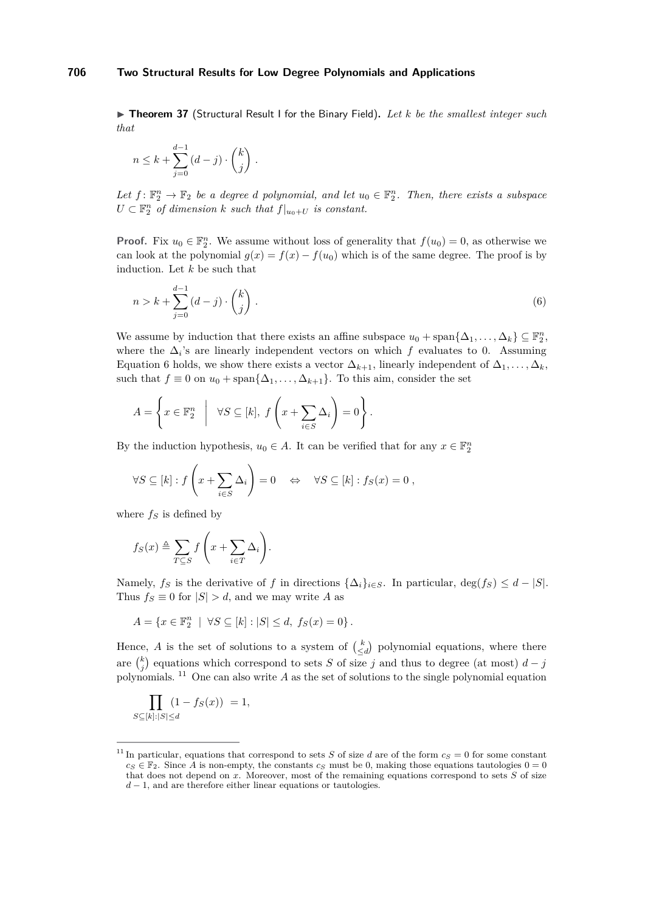<span id="page-26-2"></span>▶ Theorem 37 (Structural Result I for the Binary Field). Let *k* be the smallest integer such *that*

$$
n \leq k + \sum_{j=0}^{d-1} (d-j) \cdot \binom{k}{j} .
$$

Let  $f: \mathbb{F}_2^n \to \mathbb{F}_2$  *be a degree d polynomial, and let*  $u_0 \in \mathbb{F}_2^n$ *. Then, there exists a subspace*  $U \subset \mathbb{F}_2^n$  *of dimension*  $k$  *such that*  $f|_{u_0+U}$  *is constant.* 

**Proof.** Fix  $u_0 \in \mathbb{F}_2^n$ . We assume without loss of generality that  $f(u_0) = 0$ , as otherwise we can look at the polynomial  $g(x) = f(x) - f(u_0)$  which is of the same degree. The proof is by induction. Let *k* be such that

<span id="page-26-0"></span>
$$
n > k + \sum_{j=0}^{d-1} (d-j) \cdot \binom{k}{j} \,. \tag{6}
$$

We assume by induction that there exists an affine subspace  $u_0 + \text{span}\{\Delta_1, \ldots, \Delta_k\} \subseteq \mathbb{F}_2^n$ , where the  $\Delta_i$ 's are linearly independent vectors on which  $f$  evaluates to 0. Assuming Equation [6](#page-26-0) holds, we show there exists a vector  $\Delta_{k+1}$ , linearly independent of  $\Delta_1, \ldots, \Delta_k$ , such that  $f \equiv 0$  on  $u_0 + \text{span}\{\Delta_1, \ldots, \Delta_{k+1}\}.$  To this aim, consider the set

$$
A = \left\{ x \in \mathbb{F}_2^n \middle| \forall S \subseteq [k], f\left(x + \sum_{i \in S} \Delta_i\right) = 0 \right\}.
$$

By the induction hypothesis,  $u_0 \in A$ . It can be verified that for any  $x \in \mathbb{F}_2^n$ 

$$
\forall S \subseteq [k] : f\left(x + \sum_{i \in S} \Delta_i\right) = 0 \quad \Leftrightarrow \quad \forall S \subseteq [k] : f_S(x) = 0 ,
$$

where  $f_S$  is defined by

$$
f_S(x) \triangleq \sum_{T \subseteq S} f\left(x + \sum_{i \in T} \Delta_i\right).
$$

Namely,  $f_S$  is the derivative of  $f$  in directions  $\{\Delta_i\}_{i\in S}$ . In particular, deg( $f_S$ )  $\leq d - |S|$ . Thus  $f_S \equiv 0$  for  $|S| > d$ , and we may write *A* as

$$
A = \{x \in \mathbb{F}_2^n \mid \forall S \subseteq [k] : |S| \le d, \ f_S(x) = 0\}.
$$

Hence, *A* is the set of solutions to a system of  $\binom{k}{\leq d}$  polynomial equations, where there are  $\binom{k}{j}$  equations which correspond to sets *S* of size *j* and thus to degree (at most)  $d - j$ polynomials. [11](#page-26-1) One can also write *A* as the set of solutions to the single polynomial equation

$$
\prod_{S \subseteq [k]:|S| \le d} (1 - f_S(x)) = 1,
$$

<span id="page-26-1"></span><sup>&</sup>lt;sup>11</sup> In particular, equations that correspond to sets *S* of size *d* are of the form  $c_S = 0$  for some constant  $c_S \in \mathbb{F}_2$ . Since *A* is non-empty, the constants  $c_S$  must be 0, making those equations tautologies  $0 = 0$ that does not depend on *x*. Moreover, most of the remaining equations correspond to sets *S* of size *d* − 1, and are therefore either linear equations or tautologies.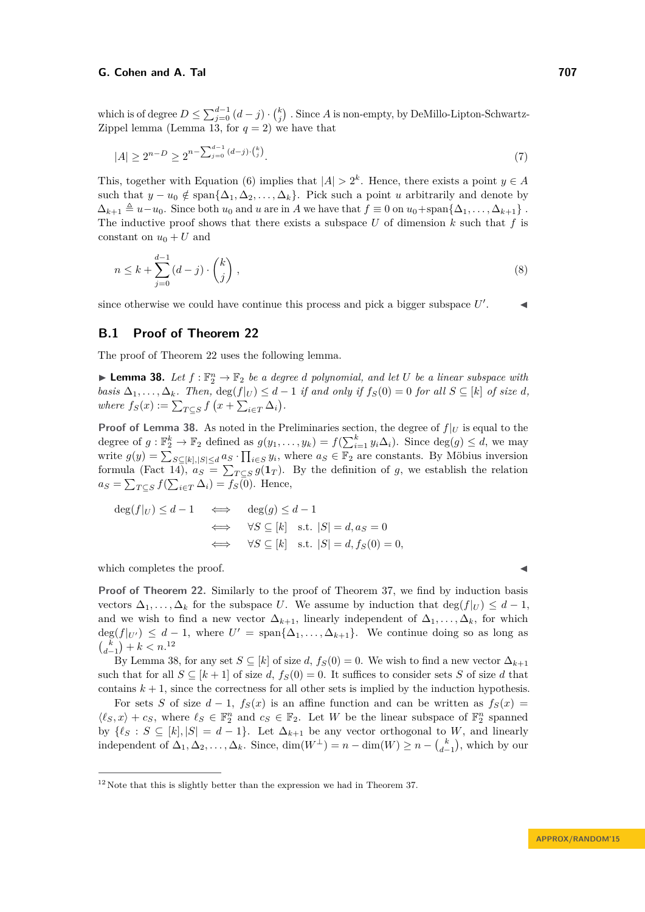which is of degree  $D \le \sum_{j=0}^{d-1} (d-j) \cdot {k \choose j}$ . Since *A* is non-empty, by DeMillo-Lipton-Schwartz-Zippel lemma (Lemma [13,](#page-10-0) for  $q = 2$ ) we have that

$$
|A| \ge 2^{n-D} \ge 2^{n-\sum_{j=0}^{d-1} (d-j)\cdot {k \choose j}}.
$$
\n
$$
(7)
$$

This, together with Equation [\(6\)](#page-26-0) implies that  $|A| > 2<sup>k</sup>$ . Hence, there exists a point  $y \in A$ such that  $y - u_0 \notin \text{span}\{\Delta_1, \Delta_2, \ldots, \Delta_k\}$ . Pick such a point *u* arbitrarily and denote by  $\Delta_{k+1} \triangleq u - u_0$ . Since both  $u_0$  and  $u$  are in *A* we have that  $f \equiv 0$  on  $u_0 + \text{span}\{\Delta_1, \ldots, \Delta_{k+1}\}\$ . The inductive proof shows that there exists a subspace  $U$  of dimension  $k$  such that  $f$  is constant on  $u_0 + U$  and

$$
n \le k + \sum_{j=0}^{d-1} (d-j) \cdot \binom{k}{j},\tag{8}
$$

since otherwise we could have continue this process and pick a bigger subspace  $U'$  $\mathcal{L} = \mathcal{A}$ 

## <span id="page-27-0"></span>**B.1 Proof of Theorem [22](#page-16-1)**

The proof of Theorem [22](#page-16-1) uses the following lemma.

<span id="page-27-1"></span>**Example 138.** Let  $f : \mathbb{F}_2^n \to \mathbb{F}_2$  be a degree *d* polynomial, and let *U* be a linear subspace with *basis*  $\Delta_1, \ldots, \Delta_k$ *. Then,*  $\deg(f|_U) \leq d-1$  *if and only if*  $f_S(0) = 0$  *for all*  $S \subseteq [k]$  *of size d*, *where*  $f_S(x) := \sum_{T \subseteq S} f(x + \sum_{i \in T} \Delta_i).$ 

**Proof of Lemma [38.](#page-27-1)** As noted in the Preliminaries section, the degree of  $f|_U$  is equal to the degree of  $g: \mathbb{F}_2^k \to \mathbb{F}_2$  defined as  $g(y_1, \ldots, y_k) = f(\sum_{i=1}^k y_i \Delta_i)$ . Since  $\deg(g) \leq d$ , we may write  $g(y) = \sum_{S \subseteq [k], |S| \le d} a_S \cdot \prod_{i \in S} y_i$ , where  $a_S \in \mathbb{F}_2$  are constants. By Möbius inversion formula (Fact [14\)](#page-10-1),  $a_S = \sum_{T \subseteq S} g(1_T)$ . By the definition of *g*, we establish the relation  $a_S = \sum_{T \subseteq S} f(\sum_{i \in T} \Delta_i) = f_S(0)$ . Hence,

$$
\deg(f|_U) \le d - 1 \iff \deg(g) \le d - 1
$$
  

$$
\iff \forall S \subseteq [k] \text{ s.t. } |S| = d, a_S = 0
$$
  

$$
\iff \forall S \subseteq [k] \text{ s.t. } |S| = d, f_S(0) = 0,
$$

which completes the proof.

**Proof of Theorem [22.](#page-16-1)** Similarly to the proof of Theorem [37,](#page-26-2) we find by induction basis vectors  $\Delta_1, \ldots, \Delta_k$  for the subspace *U*. We assume by induction that deg( $f|_U$ )  $\leq d-1$ , and we wish to find a new vector  $\Delta_{k+1}$ , linearly independent of  $\Delta_1, \ldots, \Delta_k$ , for which  $\deg(f|_{U'}) \leq d-1$ , where  $U' = \text{span}\{\Delta_1, \ldots, \Delta_{k+1}\}.$  We continue doing so as long as  ${k \choose d-1} + k < n$ <sup>[12](#page-27-2)</sup>

By Lemma [38,](#page-27-1) for any set  $S \subseteq [k]$  of size  $d, f_S(0) = 0$ . We wish to find a new vector  $\Delta_{k+1}$ such that for all  $S \subseteq [k+1]$  of size *d*,  $f_S(0) = 0$ . It suffices to consider sets *S* of size *d* that contains  $k + 1$ , since the correctness for all other sets is implied by the induction hypothesis.

For sets *S* of size  $d-1$ ,  $f_S(x)$  is an affine function and can be written as  $f_S(x) =$  $\langle \ell_S, x \rangle + c_S$ , where  $\ell_S \in \mathbb{F}_2^n$  and  $c_S \in \mathbb{F}_2$ . Let *W* be the linear subspace of  $\mathbb{F}_2^n$  spanned by  $\{\ell_S : S \subseteq [k], |S| = d - 1\}$ . Let  $\Delta_{k+1}$  be any vector orthogonal to *W*, and linearly independent of  $\Delta_1, \Delta_2, \ldots, \Delta_k$ . Since,  $\dim(W^{\perp}) = n - \dim(W) \geq n - {k \choose d-1}$ , which by our

<span id="page-27-2"></span> $12$  Note that this is slightly better than the expression we had in Theorem [37.](#page-26-2)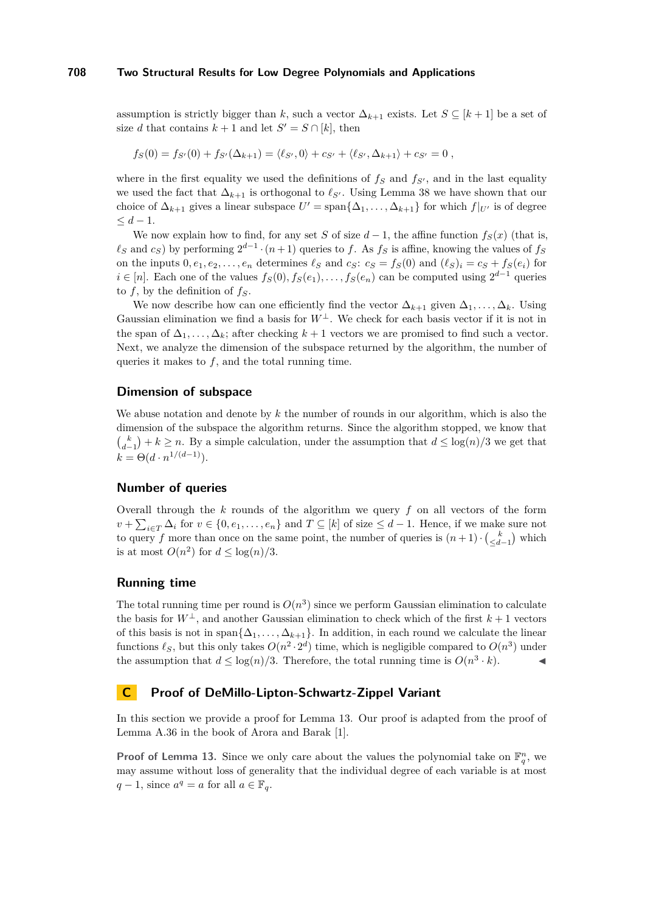assumption is strictly bigger than *k*, such a vector  $\Delta_{k+1}$  exists. Let  $S \subseteq [k+1]$  be a set of size *d* that contains  $k + 1$  and let  $S' = S \cap [k]$ , then

$$
f_S(0) = f_{S'}(0) + f_{S'}(\Delta_{k+1}) = \langle \ell_{S'}, 0 \rangle + c_{S'} + \langle \ell_{S'}, \Delta_{k+1} \rangle + c_{S'} = 0,
$$

where in the first equality we used the definitions of  $f_S$  and  $f_{S}$ , and in the last equality we used the fact that  $\Delta_{k+1}$  is orthogonal to  $\ell_{S'}$ . Using Lemma [38](#page-27-1) we have shown that our choice of  $\Delta_{k+1}$  gives a linear subspace  $U' = \text{span}\{\Delta_1, \ldots, \Delta_{k+1}\}\$  for which  $f|_{U'}$  is of degree  $\leq d-1$ .

We now explain how to find, for any set *S* of size  $d-1$ , the affine function  $f_S(x)$  (that is,  $\ell_S$  and  $c_S$ ) by performing  $2^{d-1} \cdot (n+1)$  queries to *f*. As  $f_S$  is affine, knowing the values of  $f_S$ on the inputs  $0, e_1, e_2, \ldots, e_n$  determines  $\ell_S$  and  $c_S$ :  $c_S = f_S(0)$  and  $(\ell_S)_i = c_S + f_S(e_i)$  for *i* ∈ [*n*]. Each one of the values  $f_S(0), f_S(e_1), \ldots, f_S(e_n)$  can be computed using  $2^{d-1}$  queries to *f*, by the definition of *fS*.

We now describe how can one efficiently find the vector  $\Delta_{k+1}$  given  $\Delta_1, \ldots, \Delta_k$ . Using Gaussian elimination we find a basis for  $W^{\perp}$ . We check for each basis vector if it is not in the span of  $\Delta_1, \ldots, \Delta_k$ ; after checking  $k+1$  vectors we are promised to find such a vector. Next, we analyze the dimension of the subspace returned by the algorithm, the number of queries it makes to *f*, and the total running time.

## **Dimension of subspace**

We abuse notation and denote by *k* the number of rounds in our algorithm, which is also the dimension of the subspace the algorithm returns. Since the algorithm stopped, we know that  ${k \choose d-1} + k \ge n$ . By a simple calculation, under the assumption that  $d \le \log(n)/3$  we get that  $k = \Theta(d \cdot n^{1/(d-1)})$ .

## **Number of queries**

Overall through the *k* rounds of the algorithm we query *f* on all vectors of the form  $v + \sum_{i \in T} \Delta_i$  for  $v \in \{0, e_1, \ldots, e_n\}$  and  $T \subseteq [k]$  of size  $\leq d-1$ . Hence, if we make sure not to query *f* more than once on the same point, the number of queries is  $(n+1) \cdot {k \choose \leq d-1}$  which is at most  $O(n^2)$  for  $d \leq \log(n)/3$ .

#### **Running time**

The total running time per round is  $O(n^3)$  since we perform Gaussian elimination to calculate the basis for  $W^{\perp}$ , and another Gaussian elimination to check which of the first  $k+1$  vectors of this basis is not in span $\{\Delta_1, \ldots, \Delta_{k+1}\}\$ . In addition, in each round we calculate the linear functions  $\ell_S$ , but this only takes  $O(n^2 \cdot 2^d)$  time, which is negligible compared to  $O(n^3)$  under the assumption that  $d \leq \log(n)/3$ . Therefore, the total running time is  $O(n^3 \cdot k)$ .

## <span id="page-28-0"></span>**C Proof of DeMillo-Lipton-Schwartz-Zippel Variant**

In this section we provide a proof for Lemma [13.](#page-10-0) Our proof is adapted from the proof of Lemma A.36 in the book of Arora and Barak [\[1\]](#page-22-20).

**Proof of Lemma [13.](#page-10-0)** Since we only care about the values the polynomial take on  $\mathbb{F}_q^n$ , we may assume without loss of generality that the individual degree of each variable is at most *q* − 1, since  $a^q = a$  for all  $a \in \mathbb{F}_q$ .